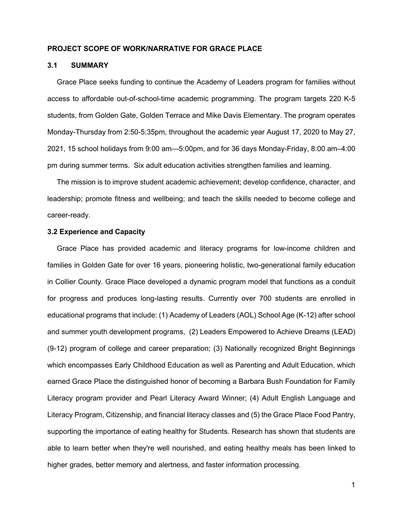## **PROJECT SCOPE OF WORK/NARRATIVE FOR GRACE PLACE**

# **3.1 SUMMARY**

Grace Place seeks funding to continue the Academy of Leaders program for families without access to affordable out-of-school-time academic programming. The program targets 220 K-5 students, from Golden Gate, Golden Terrace and Mike Davis Elementary. The program operates Monday-Thursday from 2:50-5:35pm, throughout the academic year August 17, 2020 to May 27, 2021, 15 school holidays from 9:00 am—5:00pm, and for 36 days Monday-Friday, 8:00 am–4:00 pm during summer terms. Six adult education activities strengthen families and learning.

The mission is to improve student academic achievement; develop confidence, character, and leadership; promote fitness and wellbeing; and teach the skills needed to become college and career-ready.

## **3.2 Experience and Capacity**

Grace Place has provided academic and literacy programs for low-income children and families in Golden Gate for over 16 years, pioneering holistic, two-generational family education in Collier County. Grace Place developed a dynamic program model that functions as a conduit for progress and produces long-lasting results. Currently over 700 students are enrolled in educational programs that include: (1) Academy of Leaders (AOL) School Age (K-12) after school and summer youth development programs, (2) Leaders Empowered to Achieve Dreams (LEAD) (9-12) program of college and career preparation; (3) Nationally recognized Bright Beginnings which encompasses Early Childhood Education as well as Parenting and Adult Education, which earned Grace Place the distinguished honor of becoming a Barbara Bush Foundation for Family Literacy program provider and Pearl Literacy Award Winner; (4) Adult English Language and Literacy Program, Citizenship, and financial literacy classes and (5) the Grace Place Food Pantry, supporting the importance of eating healthy for Students. Research has shown that students are able to learn better when they're well nourished, and eating healthy meals has been linked to higher grades, better memory and alertness, and faster information processing.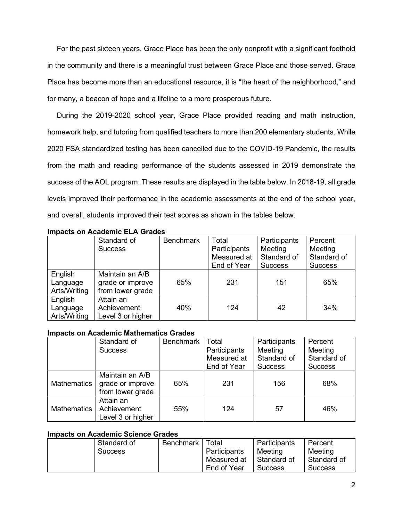For the past sixteen years, Grace Place has been the only nonprofit with a significant foothold in the community and there is a meaningful trust between Grace Place and those served. Grace Place has become more than an educational resource, it is "the heart of the neighborhood," and for many, a beacon of hope and a lifeline to a more prosperous future.

During the 2019-2020 school year, Grace Place provided reading and math instruction, homework help, and tutoring from qualified teachers to more than 200 elementary students. While 2020 FSA standardized testing has been cancelled due to the COVID-19 Pandemic, the results from the math and reading performance of the students assessed in 2019 demonstrate the success of the AOL program. These results are displayed in the table below. In 2018-19, all grade levels improved their performance in the academic assessments at the end of the school year, and overall, students improved their test scores as shown in the tables below.

|              | Standard of       | <b>Benchmark</b> | Total        | Participants   | Percent        |
|--------------|-------------------|------------------|--------------|----------------|----------------|
|              | <b>Success</b>    |                  | Participants | Meeting        | Meeting        |
|              |                   |                  | Measured at  | Standard of    | Standard of    |
|              |                   |                  | End of Year  | <b>Success</b> | <b>Success</b> |
| English      | Maintain an A/B   |                  |              |                |                |
| Language     | grade or improve  | 65%              | 231          | 151            | 65%            |
| Arts/Writing | from lower grade  |                  |              |                |                |
| English      | Attain an         |                  |              |                |                |
| Language     | Achievement       | 40%              | 124          | 42             | 34%            |
| Arts/Writing | Level 3 or higher |                  |              |                |                |

# **Impacts on Academic ELA Grades**

# **Impacts on Academic Mathematics Grades**

|             | Standard of       | Benchmark | Total        | Participants   | Percent        |  |
|-------------|-------------------|-----------|--------------|----------------|----------------|--|
|             | <b>Success</b>    |           | Participants | Meeting        | Meeting        |  |
|             |                   |           | Measured at  | Standard of    | Standard of    |  |
|             |                   |           | End of Year  | <b>Success</b> | <b>Success</b> |  |
|             | Maintain an A/B   |           |              |                |                |  |
| Mathematics | grade or improve  | 65%       | 231          | 156            | 68%            |  |
|             | from lower grade  |           |              |                |                |  |
|             | Attain an         |           |              |                |                |  |
| Mathematics | Achievement       | 55%       | 124          | 57             | 46%            |  |
|             | Level 3 or higher |           |              |                |                |  |

# **Impacts on Academic Science Grades**

| Standard of    | Benchmark | Total        | Participants   | Percent     |
|----------------|-----------|--------------|----------------|-------------|
| <b>Success</b> |           | Participants | Meeting        | Meeting     |
|                |           | Measured at  | Standard of    | Standard of |
|                |           | End of Year  | <b>Success</b> | Success     |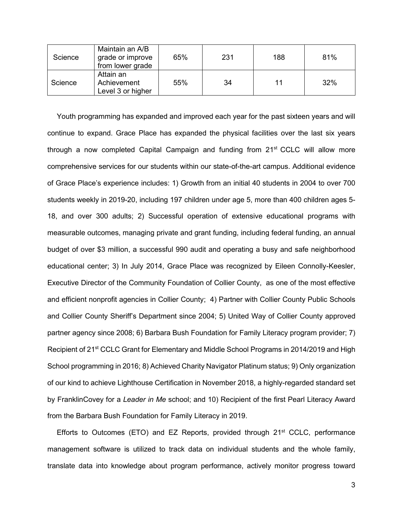| Science | Maintain an A/B<br>grade or improve<br>from lower grade | 65% | 231 | 188 | 81% |
|---------|---------------------------------------------------------|-----|-----|-----|-----|
| Science | Attain an<br>Achievement<br>Level 3 or higher           | 55% | 34  | 11  | 32% |

Youth programming has expanded and improved each year for the past sixteen years and will continue to expand. Grace Place has expanded the physical facilities over the last six years through a now completed Capital Campaign and funding from 21<sup>st</sup> CCLC will allow more comprehensive services for our students within our state-of-the-art campus. Additional evidence of Grace Place's experience includes: 1) Growth from an initial 40 students in 2004 to over 700 students weekly in 2019-20, including 197 children under age 5, more than 400 children ages 5- 18, and over 300 adults; 2) Successful operation of extensive educational programs with measurable outcomes, managing private and grant funding, including federal funding, an annual budget of over \$3 million, a successful 990 audit and operating a busy and safe neighborhood educational center; 3) In July 2014, Grace Place was recognized by Eileen Connolly-Keesler, Executive Director of the Community Foundation of Collier County, as one of the most effective and efficient nonprofit agencies in Collier County; 4) Partner with Collier County Public Schools and Collier County Sheriff's Department since 2004; 5) United Way of Collier County approved partner agency since 2008; 6) Barbara Bush Foundation for Family Literacy program provider; 7) Recipient of 21<sup>st</sup> CCLC Grant for Elementary and Middle School Programs in 2014/2019 and High School programming in 2016; 8) Achieved Charity Navigator Platinum status; 9) Only organization of our kind to achieve Lighthouse Certification in November 2018, a highly-regarded standard set by FranklinCovey for a *Leader in Me* school; and 10) Recipient of the first Pearl Literacy Award from the Barbara Bush Foundation for Family Literacy in 2019.

Efforts to Outcomes (ETO) and EZ Reports, provided through  $21<sup>st</sup>$  CCLC, performance management software is utilized to track data on individual students and the whole family, translate data into knowledge about program performance, actively monitor progress toward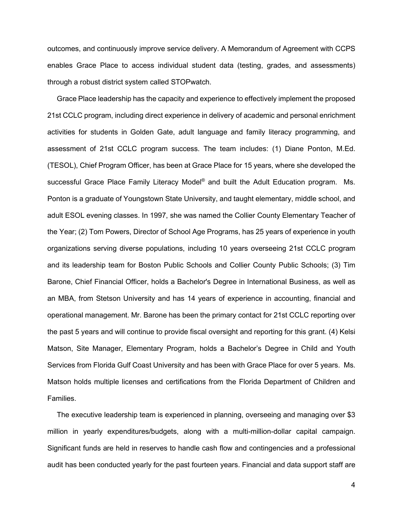outcomes, and continuously improve service delivery. A Memorandum of Agreement with CCPS enables Grace Place to access individual student data (testing, grades, and assessments) through a robust district system called STOPwatch.

Grace Place leadership has the capacity and experience to effectively implement the proposed 21st CCLC program, including direct experience in delivery of academic and personal enrichment activities for students in Golden Gate, adult language and family literacy programming, and assessment of 21st CCLC program success. The team includes: (1) Diane Ponton, M.Ed. (TESOL), Chief Program Officer, has been at Grace Place for 15 years, where she developed the successful Grace Place Family Literacy Model<sup>®</sup> and built the Adult Education program. Ms. Ponton is a graduate of Youngstown State University, and taught elementary, middle school, and adult ESOL evening classes. In 1997, she was named the Collier County Elementary Teacher of the Year; (2) Tom Powers, Director of School Age Programs, has 25 years of experience in youth organizations serving diverse populations, including 10 years overseeing 21st CCLC program and its leadership team for Boston Public Schools and Collier County Public Schools; (3) Tim Barone, Chief Financial Officer, holds a Bachelor's Degree in International Business, as well as an MBA, from Stetson University and has 14 years of experience in accounting, financial and operational management. Mr. Barone has been the primary contact for 21st CCLC reporting over the past 5 years and will continue to provide fiscal oversight and reporting for this grant. (4) Kelsi Matson, Site Manager, Elementary Program, holds a Bachelor's Degree in Child and Youth Services from Florida Gulf Coast University and has been with Grace Place for over 5 years. Ms. Matson holds multiple licenses and certifications from the Florida Department of Children and Families.

The executive leadership team is experienced in planning, overseeing and managing over \$3 million in yearly expenditures/budgets, along with a multi-million-dollar capital campaign. Significant funds are held in reserves to handle cash flow and contingencies and a professional audit has been conducted yearly for the past fourteen years. Financial and data support staff are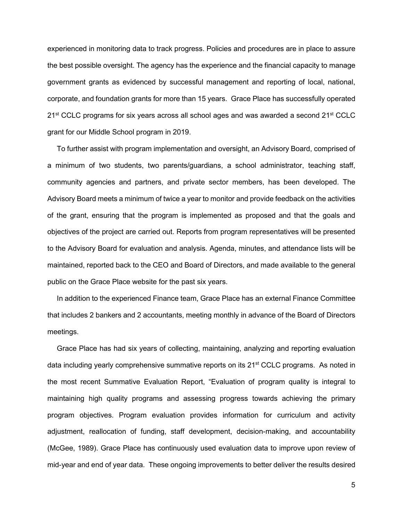experienced in monitoring data to track progress. Policies and procedures are in place to assure the best possible oversight. The agency has the experience and the financial capacity to manage government grants as evidenced by successful management and reporting of local, national, corporate, and foundation grants for more than 15 years. Grace Place has successfully operated 21<sup>st</sup> CCLC programs for six years across all school ages and was awarded a second 21<sup>st</sup> CCLC grant for our Middle School program in 2019.

To further assist with program implementation and oversight, an Advisory Board, comprised of a minimum of two students, two parents/guardians, a school administrator, teaching staff, community agencies and partners, and private sector members, has been developed. The Advisory Board meets a minimum of twice a year to monitor and provide feedback on the activities of the grant, ensuring that the program is implemented as proposed and that the goals and objectives of the project are carried out. Reports from program representatives will be presented to the Advisory Board for evaluation and analysis. Agenda, minutes, and attendance lists will be maintained, reported back to the CEO and Board of Directors, and made available to the general public on the Grace Place website for the past six years.

In addition to the experienced Finance team, Grace Place has an external Finance Committee that includes 2 bankers and 2 accountants, meeting monthly in advance of the Board of Directors meetings.

Grace Place has had six years of collecting, maintaining, analyzing and reporting evaluation data including yearly comprehensive summative reports on its 21<sup>st</sup> CCLC programs. As noted in the most recent Summative Evaluation Report, "Evaluation of program quality is integral to maintaining high quality programs and assessing progress towards achieving the primary program objectives. Program evaluation provides information for curriculum and activity adjustment, reallocation of funding, staff development, decision-making, and accountability (McGee, 1989). Grace Place has continuously used evaluation data to improve upon review of mid-year and end of year data. These ongoing improvements to better deliver the results desired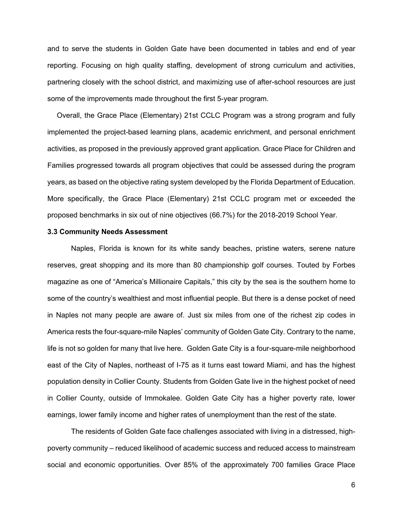and to serve the students in Golden Gate have been documented in tables and end of year reporting. Focusing on high quality staffing, development of strong curriculum and activities, partnering closely with the school district, and maximizing use of after-school resources are just some of the improvements made throughout the first 5-year program.

Overall, the Grace Place (Elementary) 21st CCLC Program was a strong program and fully implemented the project-based learning plans, academic enrichment, and personal enrichment activities, as proposed in the previously approved grant application. Grace Place for Children and Families progressed towards all program objectives that could be assessed during the program years, as based on the objective rating system developed by the Florida Department of Education. More specifically, the Grace Place (Elementary) 21st CCLC program met or exceeded the proposed benchmarks in six out of nine objectives (66.7%) for the 2018-2019 School Year.

## **3.3 Community Needs Assessment**

Naples, Florida is known for its white sandy beaches, pristine waters, serene nature reserves, great shopping and its more than 80 championship golf courses. Touted by Forbes magazine as one of "America's Millionaire Capitals," this city by the sea is the southern home to some of the country's wealthiest and most influential people. But there is a dense pocket of need in Naples not many people are aware of. Just six miles from one of the richest zip codes in America rests the four-square-mile Naples' community of Golden Gate City. Contrary to the name, life is not so golden for many that live here. Golden Gate City is a four-square-mile neighborhood east of the City of Naples, northeast of I-75 as it turns east toward Miami, and has the highest population density in Collier County. Students from Golden Gate live in the highest pocket of need in Collier County, outside of Immokalee. Golden Gate City has a higher poverty rate, lower earnings, lower family income and higher rates of unemployment than the rest of the state.

The residents of Golden Gate face challenges associated with living in a distressed, highpoverty community – reduced likelihood of academic success and reduced access to mainstream social and economic opportunities. Over 85% of the approximately 700 families Grace Place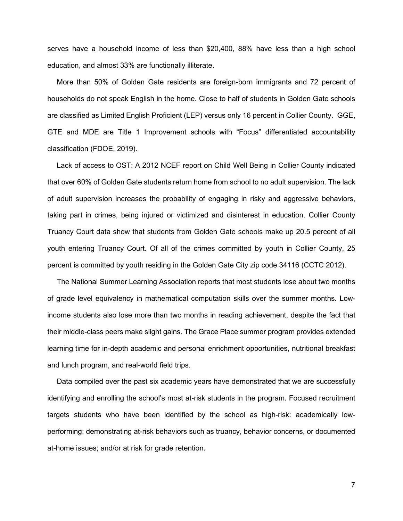serves have a household income of less than \$20,400, 88% have less than a high school education, and almost 33% are functionally illiterate.

More than 50% of Golden Gate residents are foreign-born immigrants and 72 percent of households do not speak English in the home. Close to half of students in Golden Gate schools are classified as Limited English Proficient (LEP) versus only 16 percent in Collier County. GGE, GTE and MDE are Title 1 Improvement schools with "Focus" differentiated accountability classification (FDOE, 2019).

Lack of access to OST: A 2012 NCEF report on Child Well Being in Collier County indicated that over 60% of Golden Gate students return home from school to no adult supervision. The lack of adult supervision increases the probability of engaging in risky and aggressive behaviors, taking part in crimes, being injured or victimized and disinterest in education. Collier County Truancy Court data show that students from Golden Gate schools make up 20.5 percent of all youth entering Truancy Court. Of all of the crimes committed by youth in Collier County, 25 percent is committed by youth residing in the Golden Gate City zip code 34116 (CCTC 2012).

The National Summer Learning Association reports that most students lose about two months of grade level equivalency in mathematical computation skills over the summer months. Lowincome students also lose more than two months in reading achievement, despite the fact that their middle-class peers make slight gains. The Grace Place summer program provides extended learning time for in-depth academic and personal enrichment opportunities, nutritional breakfast and lunch program, and real-world field trips.

Data compiled over the past six academic years have demonstrated that we are successfully identifying and enrolling the school's most at-risk students in the program. Focused recruitment targets students who have been identified by the school as high-risk: academically lowperforming; demonstrating at-risk behaviors such as truancy, behavior concerns, or documented at-home issues; and/or at risk for grade retention.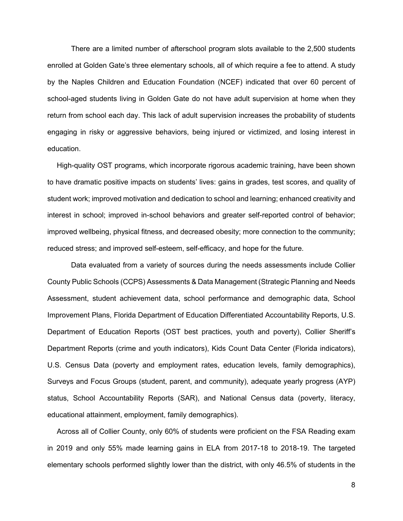There are a limited number of afterschool program slots available to the 2,500 students enrolled at Golden Gate's three elementary schools, all of which require a fee to attend. A study by the Naples Children and Education Foundation (NCEF) indicated that over 60 percent of school-aged students living in Golden Gate do not have adult supervision at home when they return from school each day. This lack of adult supervision increases the probability of students engaging in risky or aggressive behaviors, being injured or victimized, and losing interest in education.

High-quality OST programs, which incorporate rigorous academic training, have been shown to have dramatic positive impacts on students' lives: gains in grades, test scores, and quality of student work; improved motivation and dedication to school and learning; enhanced creativity and interest in school; improved in-school behaviors and greater self-reported control of behavior; improved wellbeing, physical fitness, and decreased obesity; more connection to the community; reduced stress; and improved self-esteem, self-efficacy, and hope for the future.

Data evaluated from a variety of sources during the needs assessments include Collier County Public Schools (CCPS) Assessments & Data Management (Strategic Planning and Needs Assessment, student achievement data, school performance and demographic data, School Improvement Plans, Florida Department of Education Differentiated Accountability Reports, U.S. Department of Education Reports (OST best practices, youth and poverty), Collier Sheriff's Department Reports (crime and youth indicators), Kids Count Data Center (Florida indicators), U.S. Census Data (poverty and employment rates, education levels, family demographics), Surveys and Focus Groups (student, parent, and community), adequate yearly progress (AYP) status, School Accountability Reports (SAR), and National Census data (poverty, literacy, educational attainment, employment, family demographics).

Across all of Collier County, only 60% of students were proficient on the FSA Reading exam in 2019 and only 55% made learning gains in ELA from 2017-18 to 2018-19. The targeted elementary schools performed slightly lower than the district, with only 46.5% of students in the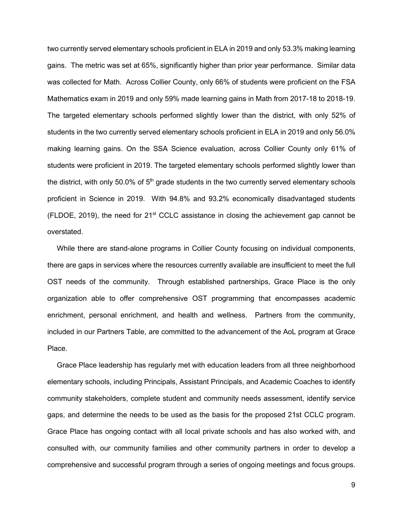two currently served elementary schools proficient in ELA in 2019 and only 53.3% making learning gains. The metric was set at 65%, significantly higher than prior year performance. Similar data was collected for Math. Across Collier County, only 66% of students were proficient on the FSA Mathematics exam in 2019 and only 59% made learning gains in Math from 2017-18 to 2018-19. The targeted elementary schools performed slightly lower than the district, with only 52% of students in the two currently served elementary schools proficient in ELA in 2019 and only 56.0% making learning gains. On the SSA Science evaluation, across Collier County only 61% of students were proficient in 2019. The targeted elementary schools performed slightly lower than the district, with only 50.0% of  $5<sup>th</sup>$  grade students in the two currently served elementary schools proficient in Science in 2019. With 94.8% and 93.2% economically disadvantaged students (FLDOE, 2019), the need for  $21<sup>st</sup>$  CCLC assistance in closing the achievement gap cannot be overstated.

While there are stand-alone programs in Collier County focusing on individual components, there are gaps in services where the resources currently available are insufficient to meet the full OST needs of the community. Through established partnerships, Grace Place is the only organization able to offer comprehensive OST programming that encompasses academic enrichment, personal enrichment, and health and wellness. Partners from the community, included in our Partners Table, are committed to the advancement of the AoL program at Grace Place.

Grace Place leadership has regularly met with education leaders from all three neighborhood elementary schools, including Principals, Assistant Principals, and Academic Coaches to identify community stakeholders, complete student and community needs assessment, identify service gaps, and determine the needs to be used as the basis for the proposed 21st CCLC program. Grace Place has ongoing contact with all local private schools and has also worked with, and consulted with, our community families and other community partners in order to develop a comprehensive and successful program through a series of ongoing meetings and focus groups.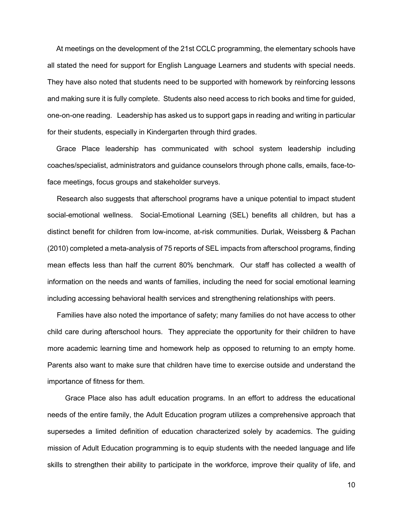At meetings on the development of the 21st CCLC programming, the elementary schools have all stated the need for support for English Language Learners and students with special needs. They have also noted that students need to be supported with homework by reinforcing lessons and making sure it is fully complete. Students also need access to rich books and time for guided, one-on-one reading. Leadership has asked us to support gaps in reading and writing in particular for their students, especially in Kindergarten through third grades.

Grace Place leadership has communicated with school system leadership including coaches/specialist, administrators and guidance counselors through phone calls, emails, face-toface meetings, focus groups and stakeholder surveys.

Research also suggests that afterschool programs have a unique potential to impact student social-emotional wellness. Social-Emotional Learning (SEL) benefits all children, but has a distinct benefit for children from low-income, at-risk communities. Durlak, Weissberg & Pachan (2010) completed a meta-analysis of 75 reports of SEL impacts from afterschool programs, finding mean effects less than half the current 80% benchmark. Our staff has collected a wealth of information on the needs and wants of families, including the need for social emotional learning including accessing behavioral health services and strengthening relationships with peers.

Families have also noted the importance of safety; many families do not have access to other child care during afterschool hours. They appreciate the opportunity for their children to have more academic learning time and homework help as opposed to returning to an empty home. Parents also want to make sure that children have time to exercise outside and understand the importance of fitness for them.

Grace Place also has adult education programs. In an effort to address the educational needs of the entire family, the Adult Education program utilizes a comprehensive approach that supersedes a limited definition of education characterized solely by academics. The guiding mission of Adult Education programming is to equip students with the needed language and life skills to strengthen their ability to participate in the workforce, improve their quality of life, and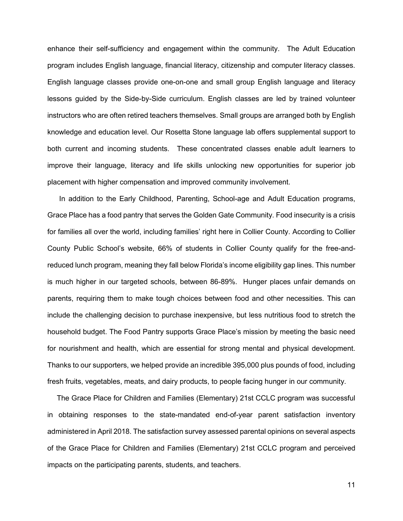enhance their self-sufficiency and engagement within the community. The Adult Education program includes English language, financial literacy, citizenship and computer literacy classes. English language classes provide one-on-one and small group English language and literacy lessons guided by the Side-by-Side curriculum. English classes are led by trained volunteer instructors who are often retired teachers themselves. Small groups are arranged both by English knowledge and education level. Our Rosetta Stone language lab offers supplemental support to both current and incoming students. These concentrated classes enable adult learners to improve their language, literacy and life skills unlocking new opportunities for superior job placement with higher compensation and improved community involvement.

In addition to the Early Childhood, Parenting, School-age and Adult Education programs, Grace Place has a food pantry that serves the Golden Gate Community. Food insecurity is a crisis for families all over the world, including families' right here in Collier County. According to Collier County Public School's website, 66% of students in Collier County qualify for the free-andreduced lunch program, meaning they fall below Florida's income eligibility gap lines. This number is much higher in our targeted schools, between 86-89%. Hunger places unfair demands on parents, requiring them to make tough choices between food and other necessities. This can include the challenging decision to purchase inexpensive, but less nutritious food to stretch the household budget. The Food Pantry supports Grace Place's mission by meeting the basic need for nourishment and health, which are essential for strong mental and physical development. Thanks to our supporters, we helped provide an incredible 395,000 plus pounds of food, including fresh fruits, vegetables, meats, and dairy products, to people facing hunger in our community.

The Grace Place for Children and Families (Elementary) 21st CCLC program was successful in obtaining responses to the state-mandated end-of-year parent satisfaction inventory administered in April 2018. The satisfaction survey assessed parental opinions on several aspects of the Grace Place for Children and Families (Elementary) 21st CCLC program and perceived impacts on the participating parents, students, and teachers.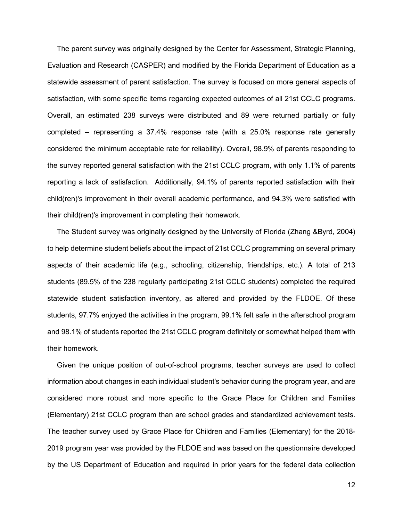The parent survey was originally designed by the Center for Assessment, Strategic Planning, Evaluation and Research (CASPER) and modified by the Florida Department of Education as a statewide assessment of parent satisfaction. The survey is focused on more general aspects of satisfaction, with some specific items regarding expected outcomes of all 21st CCLC programs. Overall, an estimated 238 surveys were distributed and 89 were returned partially or fully completed – representing a 37.4% response rate (with a 25.0% response rate generally considered the minimum acceptable rate for reliability). Overall, 98.9% of parents responding to the survey reported general satisfaction with the 21st CCLC program, with only 1.1% of parents reporting a lack of satisfaction. Additionally, 94.1% of parents reported satisfaction with their child(ren)'s improvement in their overall academic performance, and 94.3% were satisfied with their child(ren)'s improvement in completing their homework.

The Student survey was originally designed by the University of Florida (Zhang &Byrd, 2004) to help determine student beliefs about the impact of 21st CCLC programming on several primary aspects of their academic life (e.g., schooling, citizenship, friendships, etc.). A total of 213 students (89.5% of the 238 regularly participating 21st CCLC students) completed the required statewide student satisfaction inventory, as altered and provided by the FLDOE. Of these students, 97.7% enjoyed the activities in the program, 99.1% felt safe in the afterschool program and 98.1% of students reported the 21st CCLC program definitely or somewhat helped them with their homework.

Given the unique position of out-of-school programs, teacher surveys are used to collect information about changes in each individual student's behavior during the program year, and are considered more robust and more specific to the Grace Place for Children and Families (Elementary) 21st CCLC program than are school grades and standardized achievement tests. The teacher survey used by Grace Place for Children and Families (Elementary) for the 2018- 2019 program year was provided by the FLDOE and was based on the questionnaire developed by the US Department of Education and required in prior years for the federal data collection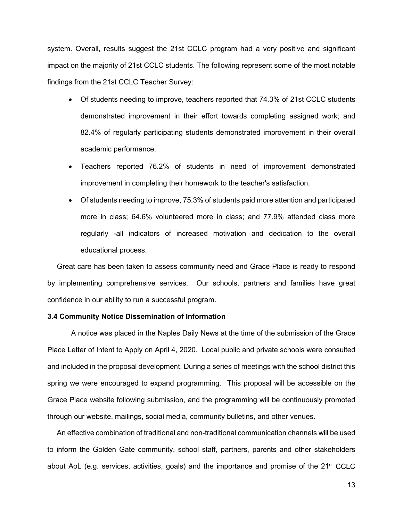system. Overall, results suggest the 21st CCLC program had a very positive and significant impact on the majority of 21st CCLC students. The following represent some of the most notable findings from the 21st CCLC Teacher Survey:

- Of students needing to improve, teachers reported that 74.3% of 21st CCLC students demonstrated improvement in their effort towards completing assigned work; and 82.4% of regularly participating students demonstrated improvement in their overall academic performance.
- Teachers reported 76.2% of students in need of improvement demonstrated improvement in completing their homework to the teacher's satisfaction.
- Of students needing to improve, 75.3% of students paid more attention and participated more in class; 64.6% volunteered more in class; and 77.9% attended class more regularly -all indicators of increased motivation and dedication to the overall educational process.

Great care has been taken to assess community need and Grace Place is ready to respond by implementing comprehensive services. Our schools, partners and families have great confidence in our ability to run a successful program.

# **3.4 Community Notice Dissemination of Information**

A notice was placed in the Naples Daily News at the time of the submission of the Grace Place Letter of Intent to Apply on April 4, 2020. Local public and private schools were consulted and included in the proposal development. During a series of meetings with the school district this spring we were encouraged to expand programming. This proposal will be accessible on the Grace Place website following submission, and the programming will be continuously promoted through our website, mailings, social media, community bulletins, and other venues.

An effective combination of traditional and non-traditional communication channels will be used to inform the Golden Gate community, school staff, partners, parents and other stakeholders about AoL (e.g. services, activities, goals) and the importance and promise of the 21<sup>st</sup> CCLC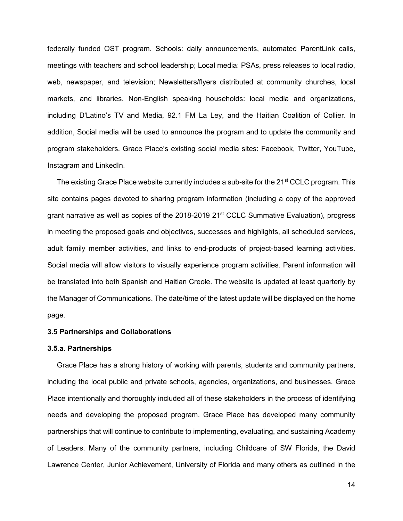federally funded OST program. Schools: daily announcements, automated ParentLink calls, meetings with teachers and school leadership; Local media: PSAs, press releases to local radio, web, newspaper, and television; Newsletters/flyers distributed at community churches, local markets, and libraries. Non-English speaking households: local media and organizations, including D'Latino's TV and Media, 92.1 FM La Ley, and the Haitian Coalition of Collier. In addition, Social media will be used to announce the program and to update the community and program stakeholders. Grace Place's existing social media sites: Facebook, Twitter, YouTube, Instagram and LinkedIn.

The existing Grace Place website currently includes a sub-site for the 21<sup>st</sup> CCLC program. This site contains pages devoted to sharing program information (including a copy of the approved grant narrative as well as copies of the 2018-2019 21<sup>st</sup> CCLC Summative Evaluation), progress in meeting the proposed goals and objectives, successes and highlights, all scheduled services, adult family member activities, and links to end-products of project-based learning activities. Social media will allow visitors to visually experience program activities. Parent information will be translated into both Spanish and Haitian Creole. The website is updated at least quarterly by the Manager of Communications. The date/time of the latest update will be displayed on the home page.

#### **3.5 Partnerships and Collaborations**

#### **3.5.a. Partnerships**

Grace Place has a strong history of working with parents, students and community partners, including the local public and private schools, agencies, organizations, and businesses. Grace Place intentionally and thoroughly included all of these stakeholders in the process of identifying needs and developing the proposed program. Grace Place has developed many community partnerships that will continue to contribute to implementing, evaluating, and sustaining Academy of Leaders. Many of the community partners, including Childcare of SW Florida, the David Lawrence Center, Junior Achievement, University of Florida and many others as outlined in the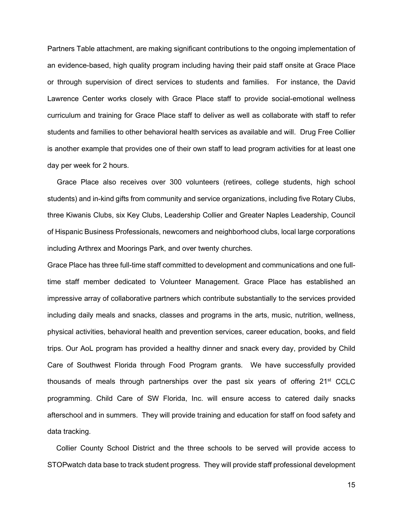Partners Table attachment, are making significant contributions to the ongoing implementation of an evidence-based, high quality program including having their paid staff onsite at Grace Place or through supervision of direct services to students and families. For instance, the David Lawrence Center works closely with Grace Place staff to provide social-emotional wellness curriculum and training for Grace Place staff to deliver as well as collaborate with staff to refer students and families to other behavioral health services as available and will. Drug Free Collier is another example that provides one of their own staff to lead program activities for at least one day per week for 2 hours.

Grace Place also receives over 300 volunteers (retirees, college students, high school students) and in-kind gifts from community and service organizations, including five Rotary Clubs, three Kiwanis Clubs, six Key Clubs, Leadership Collier and Greater Naples Leadership, Council of Hispanic Business Professionals, newcomers and neighborhood clubs, local large corporations including Arthrex and Moorings Park, and over twenty churches.

Grace Place has three full-time staff committed to development and communications and one fulltime staff member dedicated to Volunteer Management. Grace Place has established an impressive array of collaborative partners which contribute substantially to the services provided including daily meals and snacks, classes and programs in the arts, music, nutrition, wellness, physical activities, behavioral health and prevention services, career education, books, and field trips. Our AoL program has provided a healthy dinner and snack every day, provided by Child Care of Southwest Florida through Food Program grants. We have successfully provided thousands of meals through partnerships over the past six years of offering 21st CCLC programming. Child Care of SW Florida, Inc. will ensure access to catered daily snacks afterschool and in summers. They will provide training and education for staff on food safety and data tracking.

Collier County School District and the three schools to be served will provide access to STOPwatch data base to track student progress. They will provide staff professional development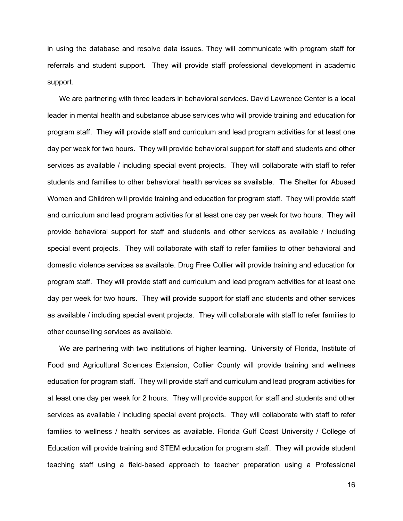in using the database and resolve data issues. They will communicate with program staff for referrals and student support. They will provide staff professional development in academic support.

We are partnering with three leaders in behavioral services. David Lawrence Center is a local leader in mental health and substance abuse services who will provide training and education for program staff. They will provide staff and curriculum and lead program activities for at least one day per week for two hours. They will provide behavioral support for staff and students and other services as available / including special event projects. They will collaborate with staff to refer students and families to other behavioral health services as available. The Shelter for Abused Women and Children will provide training and education for program staff. They will provide staff and curriculum and lead program activities for at least one day per week for two hours. They will provide behavioral support for staff and students and other services as available / including special event projects. They will collaborate with staff to refer families to other behavioral and domestic violence services as available. Drug Free Collier will provide training and education for program staff. They will provide staff and curriculum and lead program activities for at least one day per week for two hours. They will provide support for staff and students and other services as available / including special event projects. They will collaborate with staff to refer families to other counselling services as available.

We are partnering with two institutions of higher learning. University of Florida, Institute of Food and Agricultural Sciences Extension, Collier County will provide training and wellness education for program staff. They will provide staff and curriculum and lead program activities for at least one day per week for 2 hours. They will provide support for staff and students and other services as available / including special event projects. They will collaborate with staff to refer families to wellness / health services as available. Florida Gulf Coast University / College of Education will provide training and STEM education for program staff. They will provide student teaching staff using a field-based approach to teacher preparation using a Professional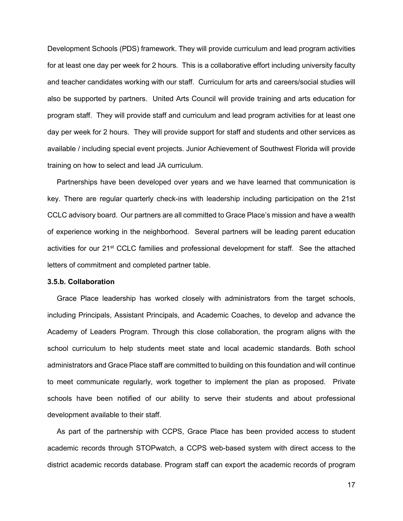Development Schools (PDS) framework. They will provide curriculum and lead program activities for at least one day per week for 2 hours. This is a collaborative effort including university faculty and teacher candidates working with our staff. Curriculum for arts and careers/social studies will also be supported by partners. United Arts Council will provide training and arts education for program staff. They will provide staff and curriculum and lead program activities for at least one day per week for 2 hours. They will provide support for staff and students and other services as available / including special event projects. Junior Achievement of Southwest Florida will provide training on how to select and lead JA curriculum.

Partnerships have been developed over years and we have learned that communication is key. There are regular quarterly check-ins with leadership including participation on the 21st CCLC advisory board. Our partners are all committed to Grace Place's mission and have a wealth of experience working in the neighborhood. Several partners will be leading parent education activities for our 21<sup>st</sup> CCLC families and professional development for staff. See the attached letters of commitment and completed partner table.

#### **3.5.b. Collaboration**

Grace Place leadership has worked closely with administrators from the target schools, including Principals, Assistant Principals, and Academic Coaches, to develop and advance the Academy of Leaders Program. Through this close collaboration, the program aligns with the school curriculum to help students meet state and local academic standards. Both school administrators and Grace Place staff are committed to building on this foundation and will continue to meet communicate regularly, work together to implement the plan as proposed. Private schools have been notified of our ability to serve their students and about professional development available to their staff.

As part of the partnership with CCPS, Grace Place has been provided access to student academic records through STOPwatch, a CCPS web-based system with direct access to the district academic records database. Program staff can export the academic records of program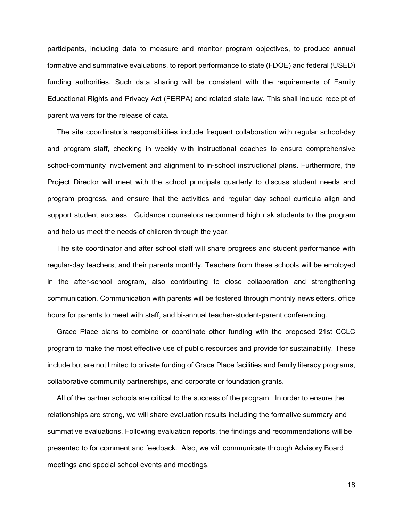participants, including data to measure and monitor program objectives, to produce annual formative and summative evaluations, to report performance to state (FDOE) and federal (USED) funding authorities. Such data sharing will be consistent with the requirements of Family Educational Rights and Privacy Act (FERPA) and related state law. This shall include receipt of parent waivers for the release of data.

The site coordinator's responsibilities include frequent collaboration with regular school-day and program staff, checking in weekly with instructional coaches to ensure comprehensive school-community involvement and alignment to in-school instructional plans. Furthermore, the Project Director will meet with the school principals quarterly to discuss student needs and program progress, and ensure that the activities and regular day school curricula align and support student success. Guidance counselors recommend high risk students to the program and help us meet the needs of children through the year.

The site coordinator and after school staff will share progress and student performance with regular-day teachers, and their parents monthly. Teachers from these schools will be employed in the after-school program, also contributing to close collaboration and strengthening communication. Communication with parents will be fostered through monthly newsletters, office hours for parents to meet with staff, and bi-annual teacher-student-parent conferencing.

Grace Place plans to combine or coordinate other funding with the proposed 21st CCLC program to make the most effective use of public resources and provide for sustainability. These include but are not limited to private funding of Grace Place facilities and family literacy programs, collaborative community partnerships, and corporate or foundation grants.

All of the partner schools are critical to the success of the program. In order to ensure the relationships are strong, we will share evaluation results including the formative summary and summative evaluations. Following evaluation reports, the findings and recommendations will be presented to for comment and feedback. Also, we will communicate through Advisory Board meetings and special school events and meetings.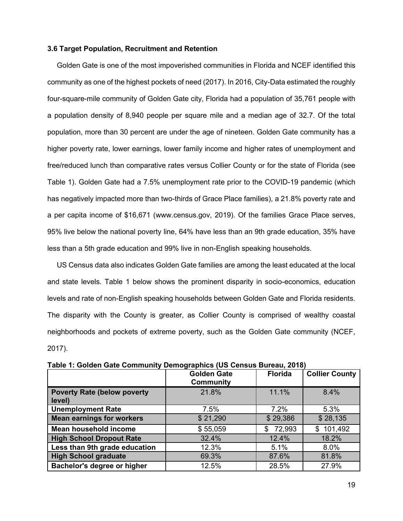#### **3.6 Target Population, Recruitment and Retention**

Golden Gate is one of the most impoverished communities in Florida and NCEF identified this community as one of the highest pockets of need (2017). In 2016, City-Data estimated the roughly four-square-mile community of Golden Gate city, Florida had a population of 35,761 people with a population density of 8,940 people per square mile and a median age of 32.7. Of the total population, more than 30 percent are under the age of nineteen. Golden Gate community has a higher poverty rate, lower earnings, lower family income and higher rates of unemployment and free/reduced lunch than comparative rates versus Collier County or for the state of Florida (see Table 1). Golden Gate had a 7.5% unemployment rate prior to the COVID-19 pandemic (which has negatively impacted more than two-thirds of Grace Place families), a 21.8% poverty rate and a per capita income of \$16,671 (www.census.gov, 2019). Of the families Grace Place serves, 95% live below the national poverty line, 64% have less than an 9th grade education, 35% have less than a 5th grade education and 99% live in non-English speaking households.

US Census data also indicates Golden Gate families are among the least educated at the local and state levels. Table 1 below shows the prominent disparity in socio-economics, education levels and rate of non-English speaking households between Golden Gate and Florida residents. The disparity with the County is greater, as Collier County is comprised of wealthy coastal neighborhoods and pockets of extreme poverty, such as the Golden Gate community (NCEF, 2017).

|                                              | <b>Golden Gate</b><br>Community | <b>Florida</b> | <b>Collier County</b> |
|----------------------------------------------|---------------------------------|----------------|-----------------------|
| <b>Poverty Rate (below poverty</b><br>level) | 21.8%                           | 11.1%          | 8.4%                  |
| <b>Unemployment Rate</b>                     | 7.5%                            | 7.2%           | 5.3%                  |
| <b>Mean earnings for workers</b>             | \$21,290                        | \$29,386       | \$28,135              |
| Mean household income                        | \$55,059                        | 72,993<br>\$   | 101,492<br>\$         |
| <b>High School Dropout Rate</b>              | 32.4%                           | 12.4%          | 18.2%                 |
| Less than 9th grade education                | 12.3%                           | 5.1%           | 8.0%                  |
| <b>High School graduate</b>                  | 69.3%                           | 87.6%          | 81.8%                 |
| Bachelor's degree or higher                  | 12.5%                           | 28.5%          | 27.9%                 |

**Table 1: Golden Gate Community Demographics (US Census Bureau, 2018)**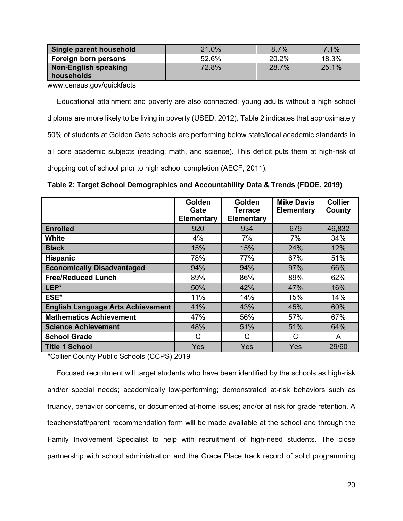| Single parent household | 21.0% | 8.7%  | 7.1%  |
|-------------------------|-------|-------|-------|
| Foreign born persons    | 52.6% | 20.2% | 18.3% |
| Non-English speaking    | 72.8% | 28.7% | 25.1% |
| households              |       |       |       |

www.census.gov/quickfacts

Educational attainment and poverty are also connected; young adults without a high school diploma are more likely to be living in poverty (USED, 2012). Table 2 indicates that approximately 50% of students at Golden Gate schools are performing below state/local academic standards in all core academic subjects (reading, math, and science). This deficit puts them at high-risk of dropping out of school prior to high school completion (AECF, 2011).

|                                          | Golden<br>Gate<br><b>Elementary</b> | Golden<br>Terrace<br><b>Elementary</b> | <b>Mike Davis</b><br><b>Elementary</b> | <b>Collier</b><br>County |
|------------------------------------------|-------------------------------------|----------------------------------------|----------------------------------------|--------------------------|
| <b>Enrolled</b>                          | 920                                 | 934                                    | 679                                    | 46,832                   |
| White                                    | 4%                                  | 7%                                     | 7%                                     | 34%                      |
| <b>Black</b>                             | 15%                                 | 15%                                    | 24%                                    | 12%                      |
| <b>Hispanic</b>                          | 78%                                 | 77%                                    | 67%                                    | 51%                      |
| <b>Economically Disadvantaged</b>        | 94%                                 | 94%                                    | 97%                                    | 66%                      |
| <b>Free/Reduced Lunch</b>                | 89%                                 | 86%                                    | 89%                                    | 62%                      |
| LEP*                                     | 50%                                 | 42%                                    | 47%                                    | 16%                      |
| ESE*                                     | 11%                                 | 14%                                    | 15%                                    | 14%                      |
| <b>English Language Arts Achievement</b> | 41%                                 | 43%                                    | 45%                                    | 60%                      |
| <b>Mathematics Achievement</b>           | 47%                                 | 56%                                    | 57%                                    | 67%                      |
| <b>Science Achievement</b>               | 48%                                 | 51%                                    | 51%                                    | 64%                      |
| <b>School Grade</b>                      | C                                   | C                                      | C                                      | A                        |
| <b>Title 1 School</b>                    | <b>Yes</b>                          | Yes                                    | Yes                                    | 29/60                    |

\*Collier County Public Schools (CCPS) 2019

Focused recruitment will target students who have been identified by the schools as high-risk and/or special needs; academically low-performing; demonstrated at-risk behaviors such as truancy, behavior concerns, or documented at-home issues; and/or at risk for grade retention. A teacher/staff/parent recommendation form will be made available at the school and through the Family Involvement Specialist to help with recruitment of high-need students. The close partnership with school administration and the Grace Place track record of solid programming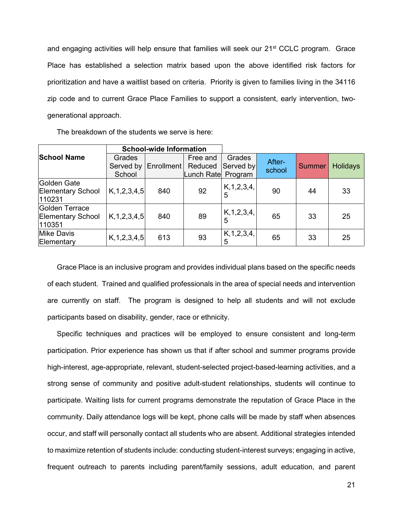and engaging activities will help ensure that families will seek our 21<sup>st</sup> CCLC program. Grace Place has established a selection matrix based upon the above identified risk factors for prioritization and have a waitlist based on criteria. Priority is given to families living in the 34116 zip code and to current Grace Place Families to support a consistent, early intervention, twogenerational approach.

The breakdown of the students we serve is here:

|                                                      |                               | <b>School-wide Information</b> |                                           |                     |                  |               |                 |
|------------------------------------------------------|-------------------------------|--------------------------------|-------------------------------------------|---------------------|------------------|---------------|-----------------|
| <b>School Name</b>                                   | Grades<br>Served by<br>School | Enrollment                     | Free and<br>Reduced<br>Lunch Rate Program | Grades<br>Served by | After-<br>school | <b>Summer</b> | <b>Holidays</b> |
| Golden Gate<br><b>Elementary School</b><br>110231    | K, 1, 2, 3, 4, 5              | 840                            | 92                                        | K, 1, 2, 3, 4,<br>5 | 90               | 44            | 33              |
| Golden Terrace<br><b>Elementary School</b><br>110351 | K, 1, 2, 3, 4, 5              | 840                            | 89                                        | K, 1, 2, 3, 4,<br>5 | 65               | 33            | 25              |
| <b>Mike Davis</b><br>Elementary                      | K, 1, 2, 3, 4, 5              | 613                            | 93                                        | K, 1, 2, 3, 4,<br>5 | 65               | 33            | 25              |

Grace Place is an inclusive program and provides individual plans based on the specific needs of each student. Trained and qualified professionals in the area of special needs and intervention are currently on staff. The program is designed to help all students and will not exclude participants based on disability, gender, race or ethnicity.

Specific techniques and practices will be employed to ensure consistent and long-term participation. Prior experience has shown us that if after school and summer programs provide high-interest, age-appropriate, relevant, student-selected project-based-learning activities, and a strong sense of community and positive adult-student relationships, students will continue to participate. Waiting lists for current programs demonstrate the reputation of Grace Place in the community. Daily attendance logs will be kept, phone calls will be made by staff when absences occur, and staff will personally contact all students who are absent. Additional strategies intended to maximize retention of students include: conducting student-interest surveys; engaging in active, frequent outreach to parents including parent/family sessions, adult education, and parent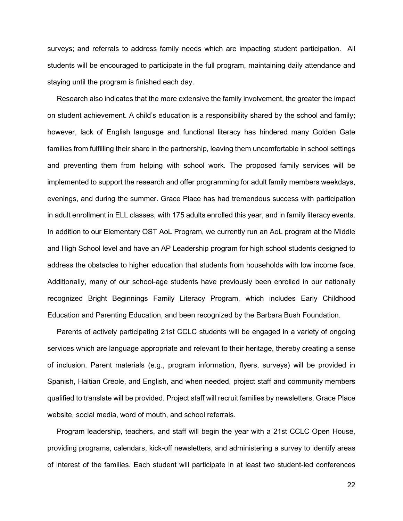surveys; and referrals to address family needs which are impacting student participation. All students will be encouraged to participate in the full program, maintaining daily attendance and staying until the program is finished each day.

Research also indicates that the more extensive the family involvement, the greater the impact on student achievement. A child's education is a responsibility shared by the school and family; however, lack of English language and functional literacy has hindered many Golden Gate families from fulfilling their share in the partnership, leaving them uncomfortable in school settings and preventing them from helping with school work. The proposed family services will be implemented to support the research and offer programming for adult family members weekdays, evenings, and during the summer. Grace Place has had tremendous success with participation in adult enrollment in ELL classes, with 175 adults enrolled this year, and in family literacy events. In addition to our Elementary OST AoL Program, we currently run an AoL program at the Middle and High School level and have an AP Leadership program for high school students designed to address the obstacles to higher education that students from households with low income face. Additionally, many of our school-age students have previously been enrolled in our nationally recognized Bright Beginnings Family Literacy Program, which includes Early Childhood Education and Parenting Education, and been recognized by the Barbara Bush Foundation.

Parents of actively participating 21st CCLC students will be engaged in a variety of ongoing services which are language appropriate and relevant to their heritage, thereby creating a sense of inclusion. Parent materials (e.g., program information, flyers, surveys) will be provided in Spanish, Haitian Creole, and English, and when needed, project staff and community members qualified to translate will be provided. Project staff will recruit families by newsletters, Grace Place website, social media, word of mouth, and school referrals.

Program leadership, teachers, and staff will begin the year with a 21st CCLC Open House, providing programs, calendars, kick-off newsletters, and administering a survey to identify areas of interest of the families. Each student will participate in at least two student-led conferences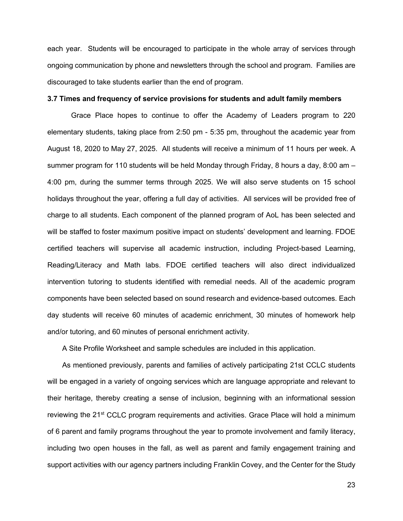each year. Students will be encouraged to participate in the whole array of services through ongoing communication by phone and newsletters through the school and program. Families are discouraged to take students earlier than the end of program.

## **3.7 Times and frequency of service provisions for students and adult family members**

Grace Place hopes to continue to offer the Academy of Leaders program to 220 elementary students, taking place from 2:50 pm - 5:35 pm, throughout the academic year from August 18, 2020 to May 27, 2025. All students will receive a minimum of 11 hours per week. A summer program for 110 students will be held Monday through Friday, 8 hours a day, 8:00 am – 4:00 pm, during the summer terms through 2025. We will also serve students on 15 school holidays throughout the year, offering a full day of activities. All services will be provided free of charge to all students. Each component of the planned program of AoL has been selected and will be staffed to foster maximum positive impact on students' development and learning. FDOE certified teachers will supervise all academic instruction, including Project-based Learning, Reading/Literacy and Math labs. FDOE certified teachers will also direct individualized intervention tutoring to students identified with remedial needs. All of the academic program components have been selected based on sound research and evidence-based outcomes. Each day students will receive 60 minutes of academic enrichment, 30 minutes of homework help and/or tutoring, and 60 minutes of personal enrichment activity.

A Site Profile Worksheet and sample schedules are included in this application.

As mentioned previously, parents and families of actively participating 21st CCLC students will be engaged in a variety of ongoing services which are language appropriate and relevant to their heritage, thereby creating a sense of inclusion, beginning with an informational session reviewing the 21<sup>st</sup> CCLC program requirements and activities. Grace Place will hold a minimum of 6 parent and family programs throughout the year to promote involvement and family literacy, including two open houses in the fall, as well as parent and family engagement training and support activities with our agency partners including Franklin Covey, and the Center for the Study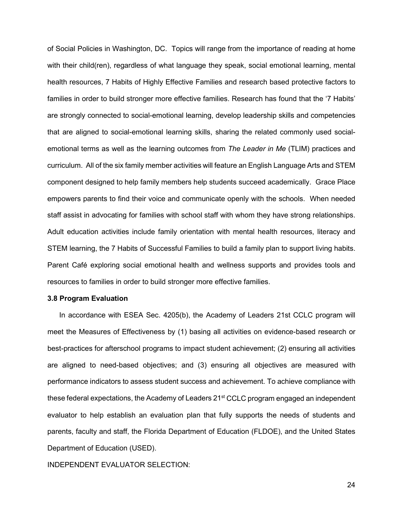of Social Policies in Washington, DC. Topics will range from the importance of reading at home with their child(ren), regardless of what language they speak, social emotional learning, mental health resources, 7 Habits of Highly Effective Families and research based protective factors to families in order to build stronger more effective families. Research has found that the '7 Habits' are strongly connected to social-emotional learning, develop leadership skills and competencies that are aligned to social-emotional learning skills, sharing the related commonly used socialemotional terms as well as the learning outcomes from *The Leader in Me* (TLIM) practices and curriculum. All of the six family member activities will feature an English Language Arts and STEM component designed to help family members help students succeed academically. Grace Place empowers parents to find their voice and communicate openly with the schools. When needed staff assist in advocating for families with school staff with whom they have strong relationships. Adult education activities include family orientation with mental health resources, literacy and STEM learning, the 7 Habits of Successful Families to build a family plan to support living habits. Parent Café exploring social emotional health and wellness supports and provides tools and resources to families in order to build stronger more effective families.

#### **3.8 Program Evaluation**

In accordance with ESEA Sec. 4205(b), the Academy of Leaders 21st CCLC program will meet the Measures of Effectiveness by (1) basing all activities on evidence-based research or best-practices for afterschool programs to impact student achievement; (2) ensuring all activities are aligned to need-based objectives; and (3) ensuring all objectives are measured with performance indicators to assess student success and achievement. To achieve compliance with these federal expectations, the Academy of Leaders 21<sup>st</sup> CCLC program engaged an independent evaluator to help establish an evaluation plan that fully supports the needs of students and parents, faculty and staff, the Florida Department of Education (FLDOE), and the United States Department of Education (USED).

INDEPENDENT EVALUATOR SELECTION: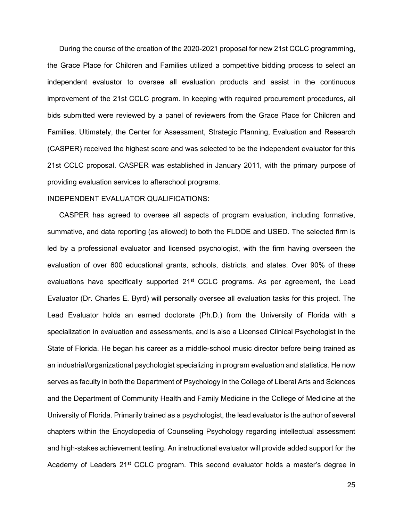During the course of the creation of the 2020-2021 proposal for new 21st CCLC programming, the Grace Place for Children and Families utilized a competitive bidding process to select an independent evaluator to oversee all evaluation products and assist in the continuous improvement of the 21st CCLC program. In keeping with required procurement procedures, all bids submitted were reviewed by a panel of reviewers from the Grace Place for Children and Families. Ultimately, the Center for Assessment, Strategic Planning, Evaluation and Research (CASPER) received the highest score and was selected to be the independent evaluator for this 21st CCLC proposal. CASPER was established in January 2011, with the primary purpose of providing evaluation services to afterschool programs.

## INDEPENDENT EVALUATOR QUALIFICATIONS:

CASPER has agreed to oversee all aspects of program evaluation, including formative, summative, and data reporting (as allowed) to both the FLDOE and USED. The selected firm is led by a professional evaluator and licensed psychologist, with the firm having overseen the evaluation of over 600 educational grants, schools, districts, and states. Over 90% of these evaluations have specifically supported 21<sup>st</sup> CCLC programs. As per agreement, the Lead Evaluator (Dr. Charles E. Byrd) will personally oversee all evaluation tasks for this project. The Lead Evaluator holds an earned doctorate (Ph.D.) from the University of Florida with a specialization in evaluation and assessments, and is also a Licensed Clinical Psychologist in the State of Florida. He began his career as a middle-school music director before being trained as an industrial/organizational psychologist specializing in program evaluation and statistics. He now serves as faculty in both the Department of Psychology in the College of Liberal Arts and Sciences and the Department of Community Health and Family Medicine in the College of Medicine at the University of Florida. Primarily trained as a psychologist, the lead evaluator is the author of several chapters within the Encyclopedia of Counseling Psychology regarding intellectual assessment and high-stakes achievement testing. An instructional evaluator will provide added support for the Academy of Leaders 21<sup>st</sup> CCLC program. This second evaluator holds a master's degree in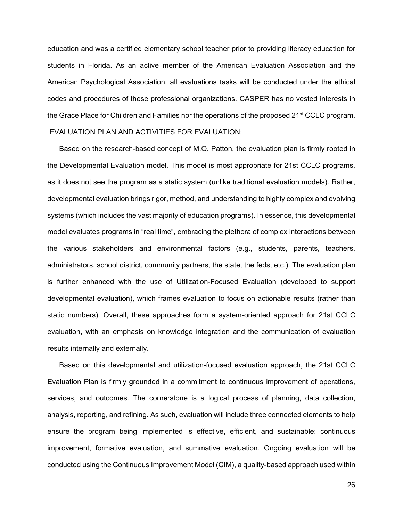education and was a certified elementary school teacher prior to providing literacy education for students in Florida. As an active member of the American Evaluation Association and the American Psychological Association, all evaluations tasks will be conducted under the ethical codes and procedures of these professional organizations. CASPER has no vested interests in the Grace Place for Children and Families nor the operations of the proposed 21<sup>st</sup> CCLC program. EVALUATION PLAN AND ACTIVITIES FOR EVALUATION:

Based on the research-based concept of M.Q. Patton, the evaluation plan is firmly rooted in the Developmental Evaluation model. This model is most appropriate for 21st CCLC programs, as it does not see the program as a static system (unlike traditional evaluation models). Rather, developmental evaluation brings rigor, method, and understanding to highly complex and evolving systems (which includes the vast majority of education programs). In essence, this developmental model evaluates programs in "real time", embracing the plethora of complex interactions between the various stakeholders and environmental factors (e.g., students, parents, teachers, administrators, school district, community partners, the state, the feds, etc.). The evaluation plan is further enhanced with the use of Utilization-Focused Evaluation (developed to support developmental evaluation), which frames evaluation to focus on actionable results (rather than static numbers). Overall, these approaches form a system-oriented approach for 21st CCLC evaluation, with an emphasis on knowledge integration and the communication of evaluation results internally and externally.

Based on this developmental and utilization-focused evaluation approach, the 21st CCLC Evaluation Plan is firmly grounded in a commitment to continuous improvement of operations, services, and outcomes. The cornerstone is a logical process of planning, data collection, analysis, reporting, and refining. As such, evaluation will include three connected elements to help ensure the program being implemented is effective, efficient, and sustainable: continuous improvement, formative evaluation, and summative evaluation. Ongoing evaluation will be conducted using the Continuous Improvement Model (CIM), a quality-based approach used within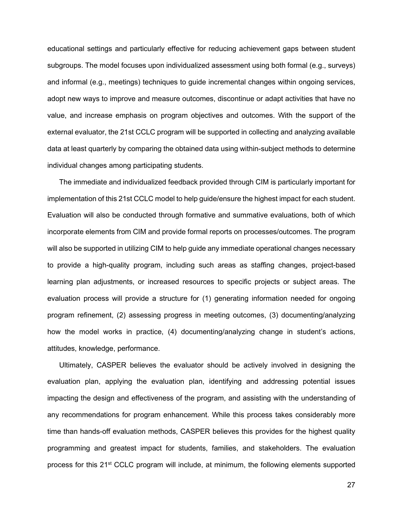educational settings and particularly effective for reducing achievement gaps between student subgroups. The model focuses upon individualized assessment using both formal (e.g., surveys) and informal (e.g., meetings) techniques to guide incremental changes within ongoing services, adopt new ways to improve and measure outcomes, discontinue or adapt activities that have no value, and increase emphasis on program objectives and outcomes. With the support of the external evaluator, the 21st CCLC program will be supported in collecting and analyzing available data at least quarterly by comparing the obtained data using within-subject methods to determine individual changes among participating students.

The immediate and individualized feedback provided through CIM is particularly important for implementation of this 21st CCLC model to help guide/ensure the highest impact for each student. Evaluation will also be conducted through formative and summative evaluations, both of which incorporate elements from CIM and provide formal reports on processes/outcomes. The program will also be supported in utilizing CIM to help guide any immediate operational changes necessary to provide a high-quality program, including such areas as staffing changes, project-based learning plan adjustments, or increased resources to specific projects or subject areas. The evaluation process will provide a structure for (1) generating information needed for ongoing program refinement, (2) assessing progress in meeting outcomes, (3) documenting/analyzing how the model works in practice, (4) documenting/analyzing change in student's actions, attitudes, knowledge, performance.

Ultimately, CASPER believes the evaluator should be actively involved in designing the evaluation plan, applying the evaluation plan, identifying and addressing potential issues impacting the design and effectiveness of the program, and assisting with the understanding of any recommendations for program enhancement. While this process takes considerably more time than hands-off evaluation methods, CASPER believes this provides for the highest quality programming and greatest impact for students, families, and stakeholders. The evaluation process for this 21<sup>st</sup> CCLC program will include, at minimum, the following elements supported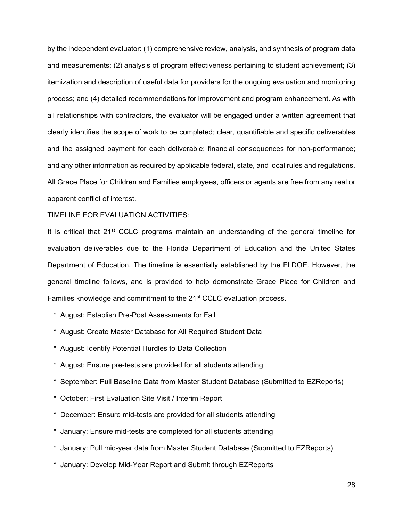by the independent evaluator: (1) comprehensive review, analysis, and synthesis of program data and measurements; (2) analysis of program effectiveness pertaining to student achievement; (3) itemization and description of useful data for providers for the ongoing evaluation and monitoring process; and (4) detailed recommendations for improvement and program enhancement. As with all relationships with contractors, the evaluator will be engaged under a written agreement that clearly identifies the scope of work to be completed; clear, quantifiable and specific deliverables and the assigned payment for each deliverable; financial consequences for non-performance; and any other information as required by applicable federal, state, and local rules and regulations. All Grace Place for Children and Families employees, officers or agents are free from any real or apparent conflict of interest.

#### TIMELINE FOR EVALUATION ACTIVITIES:

It is critical that  $21^{st}$  CCLC programs maintain an understanding of the general timeline for evaluation deliverables due to the Florida Department of Education and the United States Department of Education. The timeline is essentially established by the FLDOE. However, the general timeline follows, and is provided to help demonstrate Grace Place for Children and Families knowledge and commitment to the 21<sup>st</sup> CCLC evaluation process.

- \* August: Establish Pre-Post Assessments for Fall
- \* August: Create Master Database for All Required Student Data
- \* August: Identify Potential Hurdles to Data Collection
- \* August: Ensure pre-tests are provided for all students attending
- \* September: Pull Baseline Data from Master Student Database (Submitted to EZReports)
- \* October: First Evaluation Site Visit / Interim Report
- \* December: Ensure mid-tests are provided for all students attending
- \* January: Ensure mid-tests are completed for all students attending
- \* January: Pull mid-year data from Master Student Database (Submitted to EZReports)
- \* January: Develop Mid-Year Report and Submit through EZReports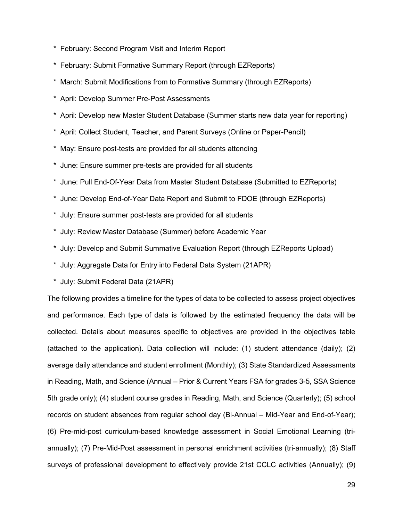- \* February: Second Program Visit and Interim Report
- \* February: Submit Formative Summary Report (through EZReports)
- March: Submit Modifications from to Formative Summary (through EZReports)
- \* April: Develop Summer Pre-Post Assessments
- \* April: Develop new Master Student Database (Summer starts new data year for reporting)
- \* April: Collect Student, Teacher, and Parent Surveys (Online or Paper-Pencil)
- \* May: Ensure post-tests are provided for all students attending
- \* June: Ensure summer pre-tests are provided for all students
- \* June: Pull End-Of-Year Data from Master Student Database (Submitted to EZReports)
- \* June: Develop End-of-Year Data Report and Submit to FDOE (through EZReports)
- \* July: Ensure summer post-tests are provided for all students
- \* July: Review Master Database (Summer) before Academic Year
- \* July: Develop and Submit Summative Evaluation Report (through EZReports Upload)
- \* July: Aggregate Data for Entry into Federal Data System (21APR)
- \* July: Submit Federal Data (21APR)

The following provides a timeline for the types of data to be collected to assess project objectives and performance. Each type of data is followed by the estimated frequency the data will be collected. Details about measures specific to objectives are provided in the objectives table (attached to the application). Data collection will include: (1) student attendance (daily); (2) average daily attendance and student enrollment (Monthly); (3) State Standardized Assessments in Reading, Math, and Science (Annual – Prior & Current Years FSA for grades 3-5, SSA Science 5th grade only); (4) student course grades in Reading, Math, and Science (Quarterly); (5) school records on student absences from regular school day (Bi-Annual – Mid-Year and End-of-Year); (6) Pre-mid-post curriculum-based knowledge assessment in Social Emotional Learning (triannually); (7) Pre-Mid-Post assessment in personal enrichment activities (tri-annually); (8) Staff surveys of professional development to effectively provide 21st CCLC activities (Annually); (9)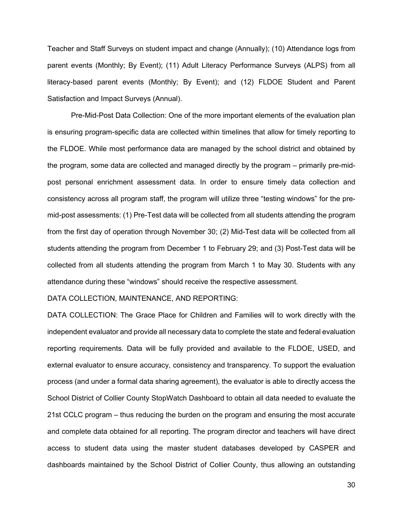Teacher and Staff Surveys on student impact and change (Annually); (10) Attendance logs from parent events (Monthly; By Event); (11) Adult Literacy Performance Surveys (ALPS) from all literacy-based parent events (Monthly; By Event); and (12) FLDOE Student and Parent Satisfaction and Impact Surveys (Annual).

Pre-Mid-Post Data Collection: One of the more important elements of the evaluation plan is ensuring program-specific data are collected within timelines that allow for timely reporting to the FLDOE. While most performance data are managed by the school district and obtained by the program, some data are collected and managed directly by the program – primarily pre-midpost personal enrichment assessment data. In order to ensure timely data collection and consistency across all program staff, the program will utilize three "testing windows" for the premid-post assessments: (1) Pre-Test data will be collected from all students attending the program from the first day of operation through November 30; (2) Mid-Test data will be collected from all students attending the program from December 1 to February 29; and (3) Post-Test data will be collected from all students attending the program from March 1 to May 30. Students with any attendance during these "windows" should receive the respective assessment.

# DATA COLLECTION, MAINTENANCE, AND REPORTING:

DATA COLLECTION: The Grace Place for Children and Families will to work directly with the independent evaluator and provide all necessary data to complete the state and federal evaluation reporting requirements. Data will be fully provided and available to the FLDOE, USED, and external evaluator to ensure accuracy, consistency and transparency. To support the evaluation process (and under a formal data sharing agreement), the evaluator is able to directly access the School District of Collier County StopWatch Dashboard to obtain all data needed to evaluate the 21st CCLC program – thus reducing the burden on the program and ensuring the most accurate and complete data obtained for all reporting. The program director and teachers will have direct access to student data using the master student databases developed by CASPER and dashboards maintained by the School District of Collier County, thus allowing an outstanding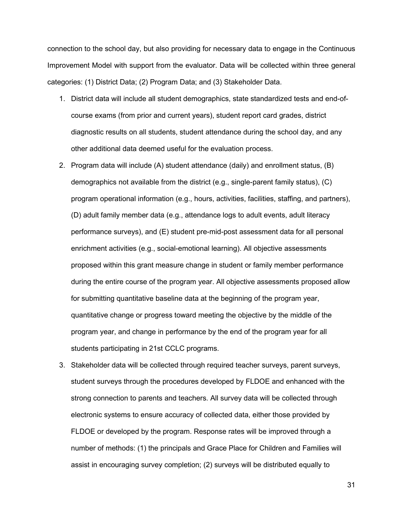connection to the school day, but also providing for necessary data to engage in the Continuous Improvement Model with support from the evaluator. Data will be collected within three general categories: (1) District Data; (2) Program Data; and (3) Stakeholder Data.

- 1. District data will include all student demographics, state standardized tests and end-ofcourse exams (from prior and current years), student report card grades, district diagnostic results on all students, student attendance during the school day, and any other additional data deemed useful for the evaluation process.
- 2. Program data will include (A) student attendance (daily) and enrollment status, (B) demographics not available from the district (e.g., single-parent family status), (C) program operational information (e.g., hours, activities, facilities, staffing, and partners), (D) adult family member data (e.g., attendance logs to adult events, adult literacy performance surveys), and (E) student pre-mid-post assessment data for all personal enrichment activities (e.g., social-emotional learning). All objective assessments proposed within this grant measure change in student or family member performance during the entire course of the program year. All objective assessments proposed allow for submitting quantitative baseline data at the beginning of the program year, quantitative change or progress toward meeting the objective by the middle of the program year, and change in performance by the end of the program year for all students participating in 21st CCLC programs.
- 3. Stakeholder data will be collected through required teacher surveys, parent surveys, student surveys through the procedures developed by FLDOE and enhanced with the strong connection to parents and teachers. All survey data will be collected through electronic systems to ensure accuracy of collected data, either those provided by FLDOE or developed by the program. Response rates will be improved through a number of methods: (1) the principals and Grace Place for Children and Families will assist in encouraging survey completion; (2) surveys will be distributed equally to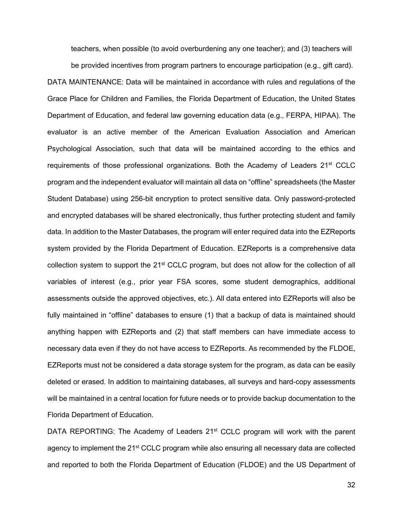teachers, when possible (to avoid overburdening any one teacher); and (3) teachers will

be provided incentives from program partners to encourage participation (e.g., gift card). DATA MAINTENANCE: Data will be maintained in accordance with rules and regulations of the Grace Place for Children and Families, the Florida Department of Education, the United States Department of Education, and federal law governing education data (e.g., FERPA, HIPAA). The evaluator is an active member of the American Evaluation Association and American Psychological Association, such that data will be maintained according to the ethics and requirements of those professional organizations. Both the Academy of Leaders 21<sup>st</sup> CCLC program and the independent evaluator will maintain all data on "offline" spreadsheets (the Master Student Database) using 256-bit encryption to protect sensitive data. Only password-protected and encrypted databases will be shared electronically, thus further protecting student and family data. In addition to the Master Databases, the program will enter required data into the EZReports system provided by the Florida Department of Education. EZReports is a comprehensive data collection system to support the 21st CCLC program, but does not allow for the collection of all variables of interest (e.g., prior year FSA scores, some student demographics, additional assessments outside the approved objectives, etc.). All data entered into EZReports will also be fully maintained in "offline" databases to ensure (1) that a backup of data is maintained should anything happen with EZReports and (2) that staff members can have immediate access to necessary data even if they do not have access to EZReports. As recommended by the FLDOE, EZReports must not be considered a data storage system for the program, as data can be easily deleted or erased. In addition to maintaining databases, all surveys and hard-copy assessments will be maintained in a central location for future needs or to provide backup documentation to the Florida Department of Education.

DATA REPORTING: The Academy of Leaders  $21<sup>st</sup>$  CCLC program will work with the parent agency to implement the 21<sup>st</sup> CCLC program while also ensuring all necessary data are collected and reported to both the Florida Department of Education (FLDOE) and the US Department of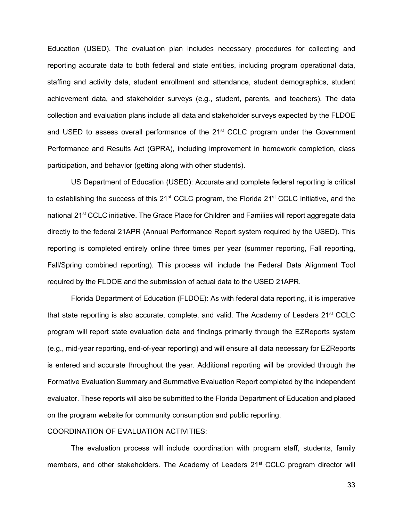Education (USED). The evaluation plan includes necessary procedures for collecting and reporting accurate data to both federal and state entities, including program operational data, staffing and activity data, student enrollment and attendance, student demographics, student achievement data, and stakeholder surveys (e.g., student, parents, and teachers). The data collection and evaluation plans include all data and stakeholder surveys expected by the FLDOE and USED to assess overall performance of the  $21<sup>st</sup>$  CCLC program under the Government Performance and Results Act (GPRA), including improvement in homework completion, class participation, and behavior (getting along with other students).

US Department of Education (USED): Accurate and complete federal reporting is critical to establishing the success of this 21<sup>st</sup> CCLC program, the Florida 21<sup>st</sup> CCLC initiative, and the national 21<sup>st</sup> CCLC initiative. The Grace Place for Children and Families will report aggregate data directly to the federal 21APR (Annual Performance Report system required by the USED). This reporting is completed entirely online three times per year (summer reporting, Fall reporting, Fall/Spring combined reporting). This process will include the Federal Data Alignment Tool required by the FLDOE and the submission of actual data to the USED 21APR.

Florida Department of Education (FLDOE): As with federal data reporting, it is imperative that state reporting is also accurate, complete, and valid. The Academy of Leaders 21<sup>st</sup> CCLC program will report state evaluation data and findings primarily through the EZReports system (e.g., mid-year reporting, end-of-year reporting) and will ensure all data necessary for EZReports is entered and accurate throughout the year. Additional reporting will be provided through the Formative Evaluation Summary and Summative Evaluation Report completed by the independent evaluator. These reports will also be submitted to the Florida Department of Education and placed on the program website for community consumption and public reporting.

# COORDINATION OF EVALUATION ACTIVITIES:

The evaluation process will include coordination with program staff, students, family members, and other stakeholders. The Academy of Leaders 21<sup>st</sup> CCLC program director will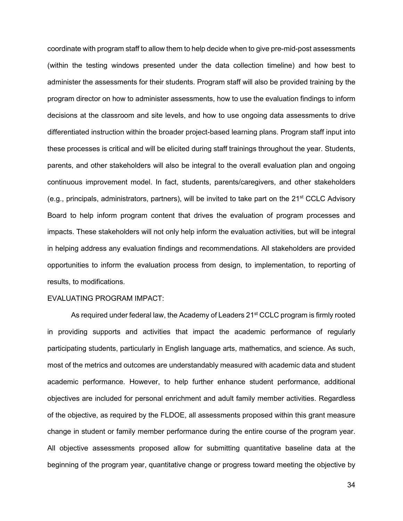coordinate with program staff to allow them to help decide when to give pre-mid-post assessments (within the testing windows presented under the data collection timeline) and how best to administer the assessments for their students. Program staff will also be provided training by the program director on how to administer assessments, how to use the evaluation findings to inform decisions at the classroom and site levels, and how to use ongoing data assessments to drive differentiated instruction within the broader project-based learning plans. Program staff input into these processes is critical and will be elicited during staff trainings throughout the year. Students, parents, and other stakeholders will also be integral to the overall evaluation plan and ongoing continuous improvement model. In fact, students, parents/caregivers, and other stakeholders (e.g., principals, administrators, partners), will be invited to take part on the  $21^{st}$  CCLC Advisory Board to help inform program content that drives the evaluation of program processes and impacts. These stakeholders will not only help inform the evaluation activities, but will be integral in helping address any evaluation findings and recommendations. All stakeholders are provided opportunities to inform the evaluation process from design, to implementation, to reporting of results, to modifications.

#### EVALUATING PROGRAM IMPACT:

As required under federal law, the Academy of Leaders 21<sup>st</sup> CCLC program is firmly rooted in providing supports and activities that impact the academic performance of regularly participating students, particularly in English language arts, mathematics, and science. As such, most of the metrics and outcomes are understandably measured with academic data and student academic performance. However, to help further enhance student performance, additional objectives are included for personal enrichment and adult family member activities. Regardless of the objective, as required by the FLDOE, all assessments proposed within this grant measure change in student or family member performance during the entire course of the program year. All objective assessments proposed allow for submitting quantitative baseline data at the beginning of the program year, quantitative change or progress toward meeting the objective by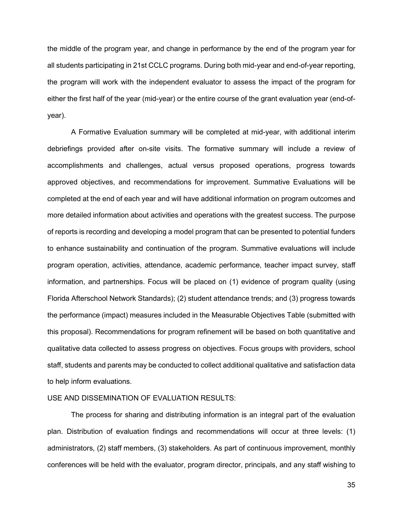the middle of the program year, and change in performance by the end of the program year for all students participating in 21st CCLC programs. During both mid-year and end-of-year reporting, the program will work with the independent evaluator to assess the impact of the program for either the first half of the year (mid-year) or the entire course of the grant evaluation year (end-ofyear).

A Formative Evaluation summary will be completed at mid-year, with additional interim debriefings provided after on-site visits. The formative summary will include a review of accomplishments and challenges, actual versus proposed operations, progress towards approved objectives, and recommendations for improvement. Summative Evaluations will be completed at the end of each year and will have additional information on program outcomes and more detailed information about activities and operations with the greatest success. The purpose of reports is recording and developing a model program that can be presented to potential funders to enhance sustainability and continuation of the program. Summative evaluations will include program operation, activities, attendance, academic performance, teacher impact survey, staff information, and partnerships. Focus will be placed on (1) evidence of program quality (using Florida Afterschool Network Standards); (2) student attendance trends; and (3) progress towards the performance (impact) measures included in the Measurable Objectives Table (submitted with this proposal). Recommendations for program refinement will be based on both quantitative and qualitative data collected to assess progress on objectives. Focus groups with providers, school staff, students and parents may be conducted to collect additional qualitative and satisfaction data to help inform evaluations.

# USE AND DISSEMINATION OF EVALUATION RESULTS:

The process for sharing and distributing information is an integral part of the evaluation plan. Distribution of evaluation findings and recommendations will occur at three levels: (1) administrators, (2) staff members, (3) stakeholders. As part of continuous improvement, monthly conferences will be held with the evaluator, program director, principals, and any staff wishing to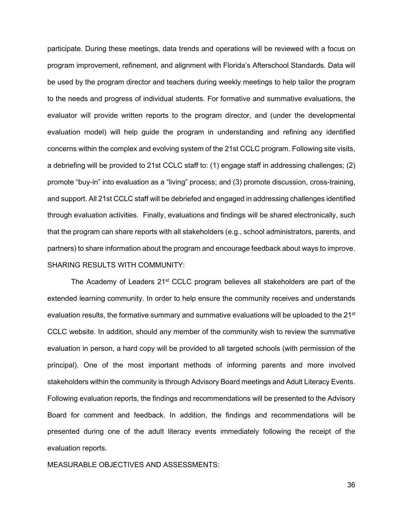participate. During these meetings, data trends and operations will be reviewed with a focus on program improvement, refinement, and alignment with Florida's Afterschool Standards. Data will be used by the program director and teachers during weekly meetings to help tailor the program to the needs and progress of individual students. For formative and summative evaluations, the evaluator will provide written reports to the program director, and (under the developmental evaluation model) will help guide the program in understanding and refining any identified concerns within the complex and evolving system of the 21st CCLC program. Following site visits, a debriefing will be provided to 21st CCLC staff to: (1) engage staff in addressing challenges; (2) promote "buy-in" into evaluation as a "living" process; and (3) promote discussion, cross-training, and support. All 21st CCLC staff will be debriefed and engaged in addressing challenges identified through evaluation activities. Finally, evaluations and findings will be shared electronically, such that the program can share reports with all stakeholders (e.g., school administrators, parents, and partners) to share information about the program and encourage feedback about ways to improve. SHARING RESULTS WITH COMMUNITY:

The Academy of Leaders 21<sup>st</sup> CCLC program believes all stakeholders are part of the extended learning community. In order to help ensure the community receives and understands evaluation results, the formative summary and summative evaluations will be uploaded to the 21<sup>st</sup> CCLC website. In addition, should any member of the community wish to review the summative evaluation in person, a hard copy will be provided to all targeted schools (with permission of the principal). One of the most important methods of informing parents and more involved stakeholders within the community is through Advisory Board meetings and Adult Literacy Events. Following evaluation reports, the findings and recommendations will be presented to the Advisory Board for comment and feedback. In addition, the findings and recommendations will be presented during one of the adult literacy events immediately following the receipt of the evaluation reports.

MEASURABLE OBJECTIVES AND ASSESSMENTS: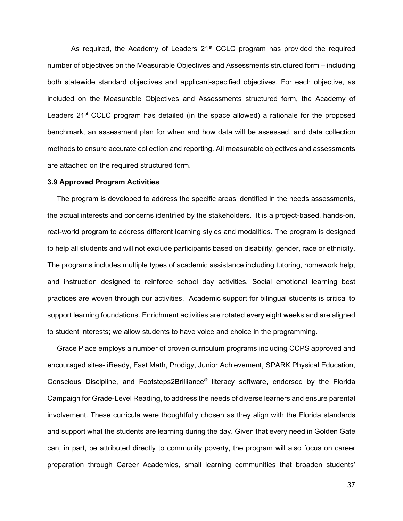As required, the Academy of Leaders  $21<sup>st</sup>$  CCLC program has provided the required number of objectives on the Measurable Objectives and Assessments structured form – including both statewide standard objectives and applicant-specified objectives. For each objective, as included on the Measurable Objectives and Assessments structured form, the Academy of Leaders 21<sup>st</sup> CCLC program has detailed (in the space allowed) a rationale for the proposed benchmark, an assessment plan for when and how data will be assessed, and data collection methods to ensure accurate collection and reporting. All measurable objectives and assessments are attached on the required structured form.

#### **3.9 Approved Program Activities**

The program is developed to address the specific areas identified in the needs assessments, the actual interests and concerns identified by the stakeholders. It is a project-based, hands-on, real-world program to address different learning styles and modalities. The program is designed to help all students and will not exclude participants based on disability, gender, race or ethnicity. The programs includes multiple types of academic assistance including tutoring, homework help, and instruction designed to reinforce school day activities. Social emotional learning best practices are woven through our activities. Academic support for bilingual students is critical to support learning foundations. Enrichment activities are rotated every eight weeks and are aligned to student interests; we allow students to have voice and choice in the programming.

Grace Place employs a number of proven curriculum programs including CCPS approved and encouraged sites- iReady, Fast Math, Prodigy, Junior Achievement, SPARK Physical Education, Conscious Discipline, and Footsteps2Brilliance® literacy software, endorsed by the Florida Campaign for Grade-Level Reading, to address the needs of diverse learners and ensure parental involvement. These curricula were thoughtfully chosen as they align with the Florida standards and support what the students are learning during the day. Given that every need in Golden Gate can, in part, be attributed directly to community poverty, the program will also focus on career preparation through Career Academies, small learning communities that broaden students'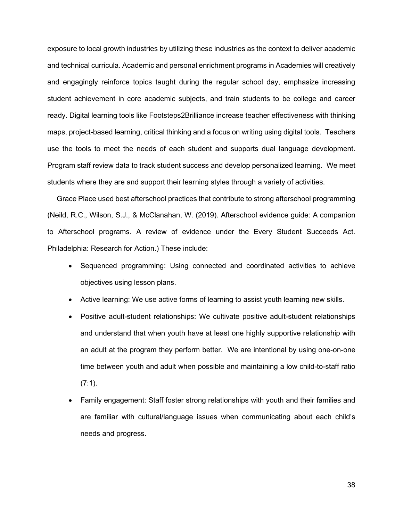exposure to local growth industries by utilizing these industries as the context to deliver academic and technical curricula. Academic and personal enrichment programs in Academies will creatively and engagingly reinforce topics taught during the regular school day, emphasize increasing student achievement in core academic subjects, and train students to be college and career ready. Digital learning tools like Footsteps2Brilliance increase teacher effectiveness with thinking maps, project-based learning, critical thinking and a focus on writing using digital tools. Teachers use the tools to meet the needs of each student and supports dual language development. Program staff review data to track student success and develop personalized learning. We meet students where they are and support their learning styles through a variety of activities.

Grace Place used best afterschool practices that contribute to strong afterschool programming (Neild, R.C., Wilson, S.J., & McClanahan, W. (2019). Afterschool evidence guide: A companion to Afterschool programs. A review of evidence under the Every Student Succeeds Act. Philadelphia: Research for Action.) These include:

- Sequenced programming: Using connected and coordinated activities to achieve objectives using lesson plans.
- Active learning: We use active forms of learning to assist youth learning new skills.
- Positive adult-student relationships: We cultivate positive adult-student relationships and understand that when youth have at least one highly supportive relationship with an adult at the program they perform better. We are intentional by using one-on-one time between youth and adult when possible and maintaining a low child-to-staff ratio (7:1).
- Family engagement: Staff foster strong relationships with youth and their families and are familiar with cultural/language issues when communicating about each child's needs and progress.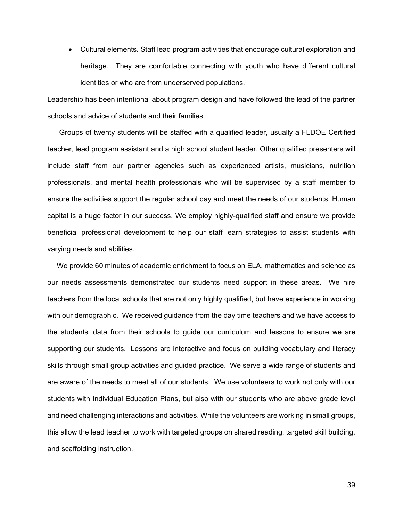• Cultural elements. Staff lead program activities that encourage cultural exploration and heritage. They are comfortable connecting with youth who have different cultural identities or who are from underserved populations.

Leadership has been intentional about program design and have followed the lead of the partner schools and advice of students and their families.

Groups of twenty students will be staffed with a qualified leader, usually a FLDOE Certified teacher, lead program assistant and a high school student leader. Other qualified presenters will include staff from our partner agencies such as experienced artists, musicians, nutrition professionals, and mental health professionals who will be supervised by a staff member to ensure the activities support the regular school day and meet the needs of our students. Human capital is a huge factor in our success. We employ highly-qualified staff and ensure we provide beneficial professional development to help our staff learn strategies to assist students with varying needs and abilities.

We provide 60 minutes of academic enrichment to focus on ELA, mathematics and science as our needs assessments demonstrated our students need support in these areas. We hire teachers from the local schools that are not only highly qualified, but have experience in working with our demographic. We received guidance from the day time teachers and we have access to the students' data from their schools to guide our curriculum and lessons to ensure we are supporting our students. Lessons are interactive and focus on building vocabulary and literacy skills through small group activities and guided practice. We serve a wide range of students and are aware of the needs to meet all of our students. We use volunteers to work not only with our students with Individual Education Plans, but also with our students who are above grade level and need challenging interactions and activities. While the volunteers are working in small groups, this allow the lead teacher to work with targeted groups on shared reading, targeted skill building, and scaffolding instruction.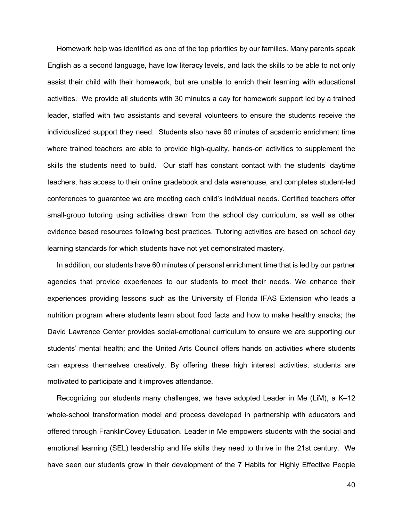Homework help was identified as one of the top priorities by our families. Many parents speak English as a second language, have low literacy levels, and lack the skills to be able to not only assist their child with their homework, but are unable to enrich their learning with educational activities. We provide all students with 30 minutes a day for homework support led by a trained leader, staffed with two assistants and several volunteers to ensure the students receive the individualized support they need. Students also have 60 minutes of academic enrichment time where trained teachers are able to provide high-quality, hands-on activities to supplement the skills the students need to build. Our staff has constant contact with the students' daytime teachers, has access to their online gradebook and data warehouse, and completes student-led conferences to guarantee we are meeting each child's individual needs. Certified teachers offer small-group tutoring using activities drawn from the school day curriculum, as well as other evidence based resources following best practices. Tutoring activities are based on school day learning standards for which students have not yet demonstrated mastery.

In addition, our students have 60 minutes of personal enrichment time that is led by our partner agencies that provide experiences to our students to meet their needs. We enhance their experiences providing lessons such as the University of Florida IFAS Extension who leads a nutrition program where students learn about food facts and how to make healthy snacks; the David Lawrence Center provides social-emotional curriculum to ensure we are supporting our students' mental health; and the United Arts Council offers hands on activities where students can express themselves creatively. By offering these high interest activities, students are motivated to participate and it improves attendance.

Recognizing our students many challenges, we have adopted Leader in Me (LiM), a K–12 whole-school transformation model and process developed in partnership with educators and offered through FranklinCovey Education. Leader in Me empowers students with the social and emotional learning (SEL) leadership and life skills they need to thrive in the 21st century. We have seen our students grow in their development of the 7 Habits for Highly Effective People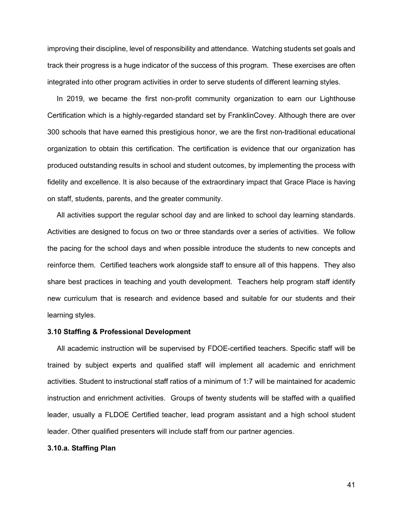improving their discipline, level of responsibility and attendance. Watching students set goals and track their progress is a huge indicator of the success of this program. These exercises are often integrated into other program activities in order to serve students of different learning styles.

In 2019, we became the first non-profit community organization to earn our Lighthouse Certification which is a highly-regarded standard set by FranklinCovey. Although there are over 300 schools that have earned this prestigious honor, we are the first non-traditional educational organization to obtain this certification. The certification is evidence that our organization has produced outstanding results in school and student outcomes, by implementing the process with fidelity and excellence. It is also because of the extraordinary impact that Grace Place is having on staff, students, parents, and the greater community.

All activities support the regular school day and are linked to school day learning standards. Activities are designed to focus on two or three standards over a series of activities. We follow the pacing for the school days and when possible introduce the students to new concepts and reinforce them. Certified teachers work alongside staff to ensure all of this happens. They also share best practices in teaching and youth development. Teachers help program staff identify new curriculum that is research and evidence based and suitable for our students and their learning styles.

#### **3.10 Staffing & Professional Development**

All academic instruction will be supervised by FDOE-certified teachers. Specific staff will be trained by subject experts and qualified staff will implement all academic and enrichment activities. Student to instructional staff ratios of a minimum of 1:7 will be maintained for academic instruction and enrichment activities. Groups of twenty students will be staffed with a qualified leader, usually a FLDOE Certified teacher, lead program assistant and a high school student leader. Other qualified presenters will include staff from our partner agencies.

# **3.10.a. Staffing Plan**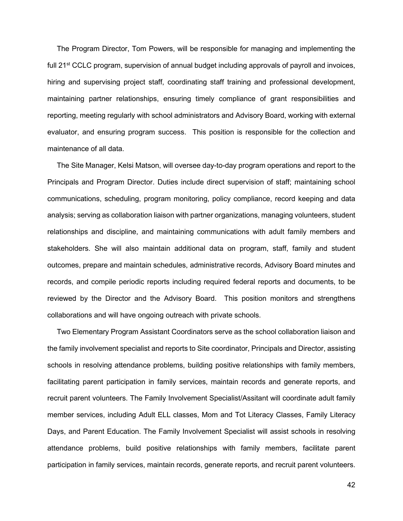The Program Director, Tom Powers, will be responsible for managing and implementing the full 21<sup>st</sup> CCLC program, supervision of annual budget including approvals of payroll and invoices, hiring and supervising project staff, coordinating staff training and professional development, maintaining partner relationships, ensuring timely compliance of grant responsibilities and reporting, meeting regularly with school administrators and Advisory Board, working with external evaluator, and ensuring program success. This position is responsible for the collection and maintenance of all data.

The Site Manager, Kelsi Matson, will oversee day-to-day program operations and report to the Principals and Program Director. Duties include direct supervision of staff; maintaining school communications, scheduling, program monitoring, policy compliance, record keeping and data analysis; serving as collaboration liaison with partner organizations, managing volunteers, student relationships and discipline, and maintaining communications with adult family members and stakeholders. She will also maintain additional data on program, staff, family and student outcomes, prepare and maintain schedules, administrative records, Advisory Board minutes and records, and compile periodic reports including required federal reports and documents, to be reviewed by the Director and the Advisory Board. This position monitors and strengthens collaborations and will have ongoing outreach with private schools.

Two Elementary Program Assistant Coordinators serve as the school collaboration liaison and the family involvement specialist and reports to Site coordinator, Principals and Director, assisting schools in resolving attendance problems, building positive relationships with family members, facilitating parent participation in family services, maintain records and generate reports, and recruit parent volunteers. The Family Involvement Specialist/Assitant will coordinate adult family member services, including Adult ELL classes, Mom and Tot Literacy Classes, Family Literacy Days, and Parent Education. The Family Involvement Specialist will assist schools in resolving attendance problems, build positive relationships with family members, facilitate parent participation in family services, maintain records, generate reports, and recruit parent volunteers.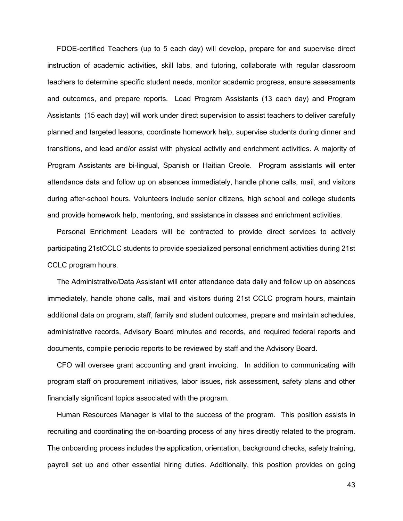FDOE-certified Teachers (up to 5 each day) will develop, prepare for and supervise direct instruction of academic activities, skill labs, and tutoring, collaborate with regular classroom teachers to determine specific student needs, monitor academic progress, ensure assessments and outcomes, and prepare reports. Lead Program Assistants (13 each day) and Program Assistants (15 each day) will work under direct supervision to assist teachers to deliver carefully planned and targeted lessons, coordinate homework help, supervise students during dinner and transitions, and lead and/or assist with physical activity and enrichment activities. A majority of Program Assistants are bi-lingual, Spanish or Haitian Creole. Program assistants will enter attendance data and follow up on absences immediately, handle phone calls, mail, and visitors during after-school hours. Volunteers include senior citizens, high school and college students and provide homework help, mentoring, and assistance in classes and enrichment activities.

Personal Enrichment Leaders will be contracted to provide direct services to actively participating 21stCCLC students to provide specialized personal enrichment activities during 21st CCLC program hours.

The Administrative/Data Assistant will enter attendance data daily and follow up on absences immediately, handle phone calls, mail and visitors during 21st CCLC program hours, maintain additional data on program, staff, family and student outcomes, prepare and maintain schedules, administrative records, Advisory Board minutes and records, and required federal reports and documents, compile periodic reports to be reviewed by staff and the Advisory Board.

CFO will oversee grant accounting and grant invoicing. In addition to communicating with program staff on procurement initiatives, labor issues, risk assessment, safety plans and other financially significant topics associated with the program.

Human Resources Manager is vital to the success of the program. This position assists in recruiting and coordinating the on-boarding process of any hires directly related to the program. The onboarding process includes the application, orientation, background checks, safety training, payroll set up and other essential hiring duties. Additionally, this position provides on going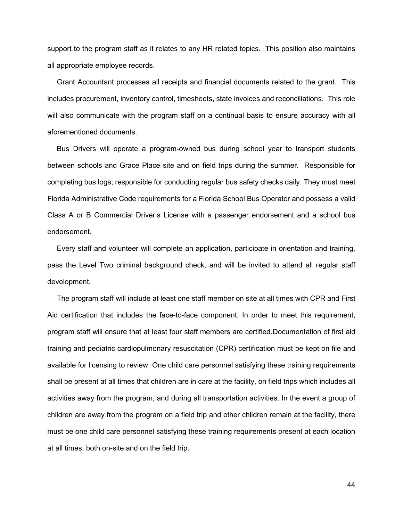support to the program staff as it relates to any HR related topics. This position also maintains all appropriate employee records.

Grant Accountant processes all receipts and financial documents related to the grant. This includes procurement, inventory control, timesheets, state invoices and reconciliations. This role will also communicate with the program staff on a continual basis to ensure accuracy with all aforementioned documents.

Bus Drivers will operate a program-owned bus during school year to transport students between schools and Grace Place site and on field trips during the summer. Responsible for completing bus logs; responsible for conducting regular bus safety checks daily. They must meet Florida Administrative Code requirements for a Florida School Bus Operator and possess a valid Class A or B Commercial Driver's License with a passenger endorsement and a school bus endorsement.

Every staff and volunteer will complete an application, participate in orientation and training, pass the Level Two criminal background check, and will be invited to attend all regular staff development.

The program staff will include at least one staff member on site at all times with CPR and First Aid certification that includes the face-to-face component. In order to meet this requirement, program staff will ensure that at least four staff members are certified.Documentation of first aid training and pediatric cardiopulmonary resuscitation (CPR) certification must be kept on file and available for licensing to review. One child care personnel satisfying these training requirements shall be present at all times that children are in care at the facility, on field trips which includes all activities away from the program, and during all transportation activities. In the event a group of children are away from the program on a field trip and other children remain at the facility, there must be one child care personnel satisfying these training requirements present at each location at all times, both on-site and on the field trip.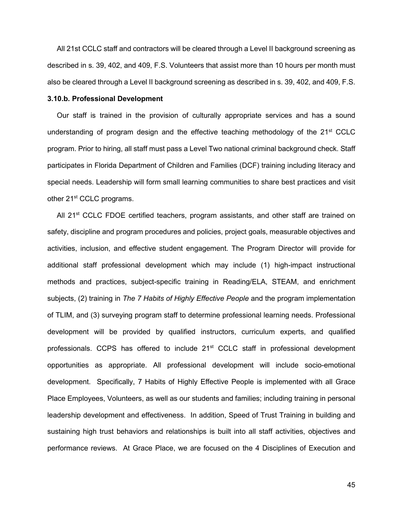All 21st CCLC staff and contractors will be cleared through a Level II background screening as described in s. 39, 402, and 409, F.S. Volunteers that assist more than 10 hours per month must also be cleared through a Level II background screening as described in s. 39, 402, and 409, F.S.

# **3.10.b. Professional Development**

Our staff is trained in the provision of culturally appropriate services and has a sound understanding of program design and the effective teaching methodology of the  $21<sup>st</sup>$  CCLC program. Prior to hiring, all staff must pass a Level Two national criminal background check. Staff participates in Florida Department of Children and Families (DCF) training including literacy and special needs. Leadership will form small learning communities to share best practices and visit other 21<sup>st</sup> CCLC programs.

All  $21<sup>st</sup>$  CCLC FDOE certified teachers, program assistants, and other staff are trained on safety, discipline and program procedures and policies, project goals, measurable objectives and activities, inclusion, and effective student engagement. The Program Director will provide for additional staff professional development which may include (1) high-impact instructional methods and practices, subject-specific training in Reading/ELA, STEAM, and enrichment subjects, (2) training in *The 7 Habits of Highly Effective People* and the program implementation of TLIM, and (3) surveying program staff to determine professional learning needs. Professional development will be provided by qualified instructors, curriculum experts, and qualified professionals. CCPS has offered to include 21<sup>st</sup> CCLC staff in professional development opportunities as appropriate. All professional development will include socio-emotional development. Specifically, 7 Habits of Highly Effective People is implemented with all Grace Place Employees, Volunteers, as well as our students and families; including training in personal leadership development and effectiveness. In addition, Speed of Trust Training in building and sustaining high trust behaviors and relationships is built into all staff activities, objectives and performance reviews. At Grace Place, we are focused on the 4 Disciplines of Execution and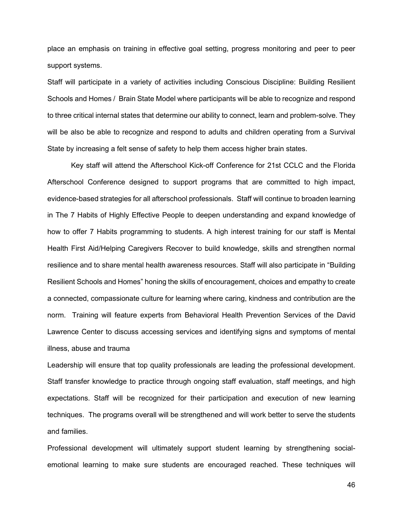place an emphasis on training in effective goal setting, progress monitoring and peer to peer support systems.

Staff will participate in a variety of activities including Conscious Discipline: Building Resilient Schools and Homes / Brain State Model where participants will be able to recognize and respond to three critical internal states that determine our ability to connect, learn and problem-solve. They will be also be able to recognize and respond to adults and children operating from a Survival State by increasing a felt sense of safety to help them access higher brain states.

Key staff will attend the Afterschool Kick-off Conference for 21st CCLC and the Florida Afterschool Conference designed to support programs that are committed to high impact, evidence-based strategies for all afterschool professionals. Staff will continue to broaden learning in The 7 Habits of Highly Effective People to deepen understanding and expand knowledge of how to offer 7 Habits programming to students. A high interest training for our staff is Mental Health First Aid/Helping Caregivers Recover to build knowledge, skills and strengthen normal resilience and to share mental health awareness resources. Staff will also participate in "Building Resilient Schools and Homes" honing the skills of encouragement, choices and empathy to create a connected, compassionate culture for learning where caring, kindness and contribution are the norm. Training will feature experts from Behavioral Health Prevention Services of the David Lawrence Center to discuss accessing services and identifying signs and symptoms of mental illness, abuse and trauma

Leadership will ensure that top quality professionals are leading the professional development. Staff transfer knowledge to practice through ongoing staff evaluation, staff meetings, and high expectations. Staff will be recognized for their participation and execution of new learning techniques. The programs overall will be strengthened and will work better to serve the students and families.

Professional development will ultimately support student learning by strengthening socialemotional learning to make sure students are encouraged reached. These techniques will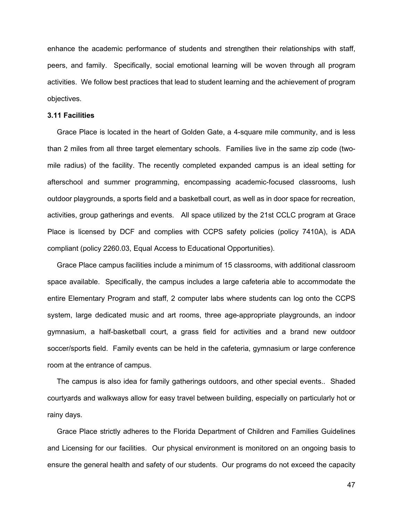enhance the academic performance of students and strengthen their relationships with staff, peers, and family. Specifically, social emotional learning will be woven through all program activities. We follow best practices that lead to student learning and the achievement of program objectives.

# **3.11 Facilities**

Grace Place is located in the heart of Golden Gate, a 4-square mile community, and is less than 2 miles from all three target elementary schools. Families live in the same zip code (twomile radius) of the facility. The recently completed expanded campus is an ideal setting for afterschool and summer programming, encompassing academic-focused classrooms, lush outdoor playgrounds, a sports field and a basketball court, as well as in door space for recreation, activities, group gatherings and events. All space utilized by the 21st CCLC program at Grace Place is licensed by DCF and complies with CCPS safety policies (policy 7410A), is ADA compliant (policy 2260.03, Equal Access to Educational Opportunities).

Grace Place campus facilities include a minimum of 15 classrooms, with additional classroom space available. Specifically, the campus includes a large cafeteria able to accommodate the entire Elementary Program and staff, 2 computer labs where students can log onto the CCPS system, large dedicated music and art rooms, three age-appropriate playgrounds, an indoor gymnasium, a half-basketball court, a grass field for activities and a brand new outdoor soccer/sports field. Family events can be held in the cafeteria, gymnasium or large conference room at the entrance of campus.

The campus is also idea for family gatherings outdoors, and other special events.. Shaded courtyards and walkways allow for easy travel between building, especially on particularly hot or rainy days.

Grace Place strictly adheres to the Florida Department of Children and Families Guidelines and Licensing for our facilities. Our physical environment is monitored on an ongoing basis to ensure the general health and safety of our students. Our programs do not exceed the capacity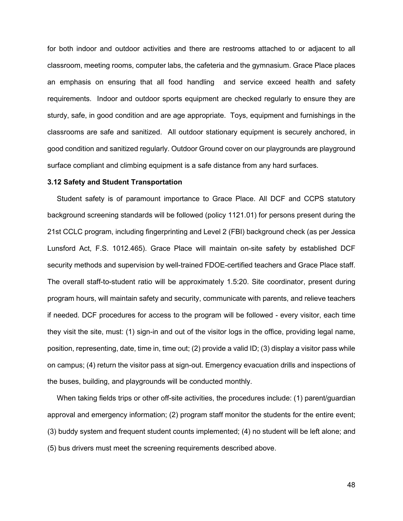for both indoor and outdoor activities and there are restrooms attached to or adjacent to all classroom, meeting rooms, computer labs, the cafeteria and the gymnasium. Grace Place places an emphasis on ensuring that all food handling and service exceed health and safety requirements. Indoor and outdoor sports equipment are checked regularly to ensure they are sturdy, safe, in good condition and are age appropriate. Toys, equipment and furnishings in the classrooms are safe and sanitized. All outdoor stationary equipment is securely anchored, in good condition and sanitized regularly. Outdoor Ground cover on our playgrounds are playground surface compliant and climbing equipment is a safe distance from any hard surfaces.

#### **3.12 Safety and Student Transportation**

Student safety is of paramount importance to Grace Place. All DCF and CCPS statutory background screening standards will be followed (policy 1121.01) for persons present during the 21st CCLC program, including fingerprinting and Level 2 (FBI) background check (as per Jessica Lunsford Act, F.S. 1012.465). Grace Place will maintain on-site safety by established DCF security methods and supervision by well-trained FDOE-certified teachers and Grace Place staff. The overall staff-to-student ratio will be approximately 1.5:20. Site coordinator, present during program hours, will maintain safety and security, communicate with parents, and relieve teachers if needed. DCF procedures for access to the program will be followed - every visitor, each time they visit the site, must: (1) sign-in and out of the visitor logs in the office, providing legal name, position, representing, date, time in, time out; (2) provide a valid ID; (3) display a visitor pass while on campus; (4) return the visitor pass at sign-out. Emergency evacuation drills and inspections of the buses, building, and playgrounds will be conducted monthly.

When taking fields trips or other off-site activities, the procedures include: (1) parent/guardian approval and emergency information; (2) program staff monitor the students for the entire event; (3) buddy system and frequent student counts implemented; (4) no student will be left alone; and (5) bus drivers must meet the screening requirements described above.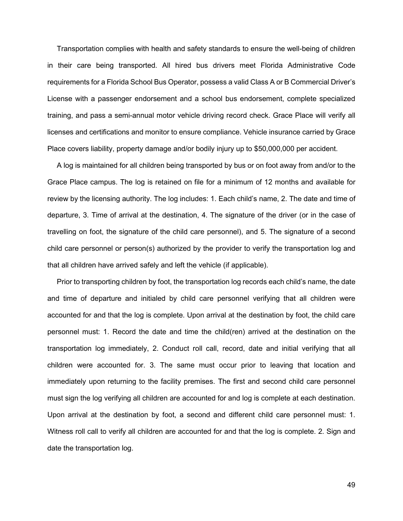Transportation complies with health and safety standards to ensure the well-being of children in their care being transported. All hired bus drivers meet Florida Administrative Code requirements for a Florida School Bus Operator, possess a valid Class A or B Commercial Driver's License with a passenger endorsement and a school bus endorsement, complete specialized training, and pass a semi-annual motor vehicle driving record check. Grace Place will verify all licenses and certifications and monitor to ensure compliance. Vehicle insurance carried by Grace Place covers liability, property damage and/or bodily injury up to \$50,000,000 per accident.

A log is maintained for all children being transported by bus or on foot away from and/or to the Grace Place campus. The log is retained on file for a minimum of 12 months and available for review by the licensing authority. The log includes: 1. Each child's name, 2. The date and time of departure, 3. Time of arrival at the destination, 4. The signature of the driver (or in the case of travelling on foot, the signature of the child care personnel), and 5. The signature of a second child care personnel or person(s) authorized by the provider to verify the transportation log and that all children have arrived safely and left the vehicle (if applicable).

Prior to transporting children by foot, the transportation log records each child's name, the date and time of departure and initialed by child care personnel verifying that all children were accounted for and that the log is complete. Upon arrival at the destination by foot, the child care personnel must: 1. Record the date and time the child(ren) arrived at the destination on the transportation log immediately, 2. Conduct roll call, record, date and initial verifying that all children were accounted for. 3. The same must occur prior to leaving that location and immediately upon returning to the facility premises. The first and second child care personnel must sign the log verifying all children are accounted for and log is complete at each destination. Upon arrival at the destination by foot, a second and different child care personnel must: 1. Witness roll call to verify all children are accounted for and that the log is complete. 2. Sign and date the transportation log.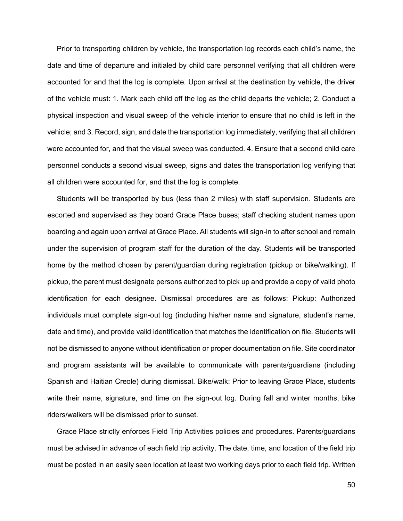Prior to transporting children by vehicle, the transportation log records each child's name, the date and time of departure and initialed by child care personnel verifying that all children were accounted for and that the log is complete. Upon arrival at the destination by vehicle, the driver of the vehicle must: 1. Mark each child off the log as the child departs the vehicle; 2. Conduct a physical inspection and visual sweep of the vehicle interior to ensure that no child is left in the vehicle; and 3. Record, sign, and date the transportation log immediately, verifying that all children were accounted for, and that the visual sweep was conducted. 4. Ensure that a second child care personnel conducts a second visual sweep, signs and dates the transportation log verifying that all children were accounted for, and that the log is complete.

Students will be transported by bus (less than 2 miles) with staff supervision. Students are escorted and supervised as they board Grace Place buses; staff checking student names upon boarding and again upon arrival at Grace Place. All students will sign-in to after school and remain under the supervision of program staff for the duration of the day. Students will be transported home by the method chosen by parent/guardian during registration (pickup or bike/walking). If pickup, the parent must designate persons authorized to pick up and provide a copy of valid photo identification for each designee. Dismissal procedures are as follows: Pickup: Authorized individuals must complete sign-out log (including his/her name and signature, student's name, date and time), and provide valid identification that matches the identification on file. Students will not be dismissed to anyone without identification or proper documentation on file. Site coordinator and program assistants will be available to communicate with parents/guardians (including Spanish and Haitian Creole) during dismissal. Bike/walk: Prior to leaving Grace Place, students write their name, signature, and time on the sign-out log. During fall and winter months, bike riders/walkers will be dismissed prior to sunset.

Grace Place strictly enforces Field Trip Activities policies and procedures. Parents/guardians must be advised in advance of each field trip activity. The date, time, and location of the field trip must be posted in an easily seen location at least two working days prior to each field trip. Written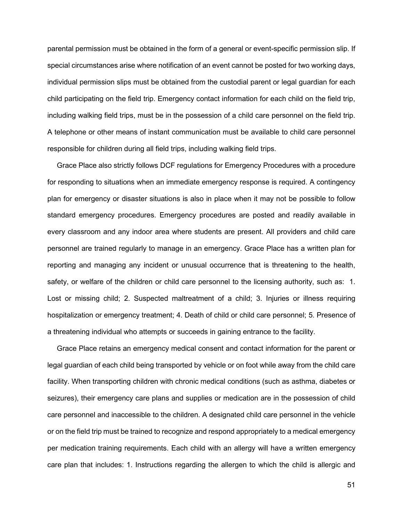parental permission must be obtained in the form of a general or event-specific permission slip. If special circumstances arise where notification of an event cannot be posted for two working days, individual permission slips must be obtained from the custodial parent or legal guardian for each child participating on the field trip. Emergency contact information for each child on the field trip, including walking field trips, must be in the possession of a child care personnel on the field trip. A telephone or other means of instant communication must be available to child care personnel responsible for children during all field trips, including walking field trips.

Grace Place also strictly follows DCF regulations for Emergency Procedures with a procedure for responding to situations when an immediate emergency response is required. A contingency plan for emergency or disaster situations is also in place when it may not be possible to follow standard emergency procedures. Emergency procedures are posted and readily available in every classroom and any indoor area where students are present. All providers and child care personnel are trained regularly to manage in an emergency. Grace Place has a written plan for reporting and managing any incident or unusual occurrence that is threatening to the health, safety, or welfare of the children or child care personnel to the licensing authority, such as: 1. Lost or missing child; 2. Suspected maltreatment of a child; 3. Injuries or illness requiring hospitalization or emergency treatment; 4. Death of child or child care personnel; 5. Presence of a threatening individual who attempts or succeeds in gaining entrance to the facility.

Grace Place retains an emergency medical consent and contact information for the parent or legal guardian of each child being transported by vehicle or on foot while away from the child care facility. When transporting children with chronic medical conditions (such as asthma, diabetes or seizures), their emergency care plans and supplies or medication are in the possession of child care personnel and inaccessible to the children. A designated child care personnel in the vehicle or on the field trip must be trained to recognize and respond appropriately to a medical emergency per medication training requirements. Each child with an allergy will have a written emergency care plan that includes: 1. Instructions regarding the allergen to which the child is allergic and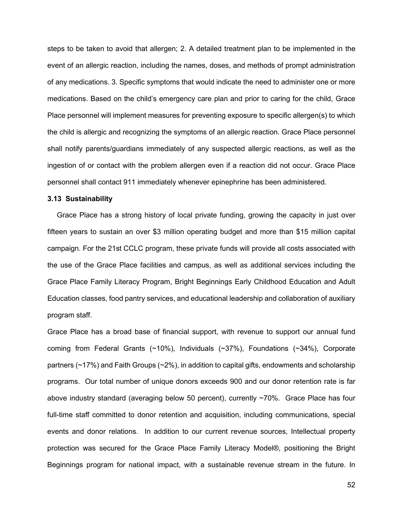steps to be taken to avoid that allergen; 2. A detailed treatment plan to be implemented in the event of an allergic reaction, including the names, doses, and methods of prompt administration of any medications. 3. Specific symptoms that would indicate the need to administer one or more medications. Based on the child's emergency care plan and prior to caring for the child, Grace Place personnel will implement measures for preventing exposure to specific allergen(s) to which the child is allergic and recognizing the symptoms of an allergic reaction. Grace Place personnel shall notify parents/guardians immediately of any suspected allergic reactions, as well as the ingestion of or contact with the problem allergen even if a reaction did not occur. Grace Place personnel shall contact 911 immediately whenever epinephrine has been administered.

# **3.13 Sustainability**

Grace Place has a strong history of local private funding, growing the capacity in just over fifteen years to sustain an over \$3 million operating budget and more than \$15 million capital campaign. For the 21st CCLC program, these private funds will provide all costs associated with the use of the Grace Place facilities and campus, as well as additional services including the Grace Place Family Literacy Program, Bright Beginnings Early Childhood Education and Adult Education classes, food pantry services, and educational leadership and collaboration of auxiliary program staff.

Grace Place has a broad base of financial support, with revenue to support our annual fund coming from Federal Grants (~10%), Individuals (~37%), Foundations (~34%), Corporate partners (~17%) and Faith Groups (~2%), in addition to capital gifts, endowments and scholarship programs. Our total number of unique donors exceeds 900 and our donor retention rate is far above industry standard (averaging below 50 percent), currently ~70%. Grace Place has four full-time staff committed to donor retention and acquisition, including communications, special events and donor relations. In addition to our current revenue sources, Intellectual property protection was secured for the Grace Place Family Literacy Model®, positioning the Bright Beginnings program for national impact, with a sustainable revenue stream in the future. In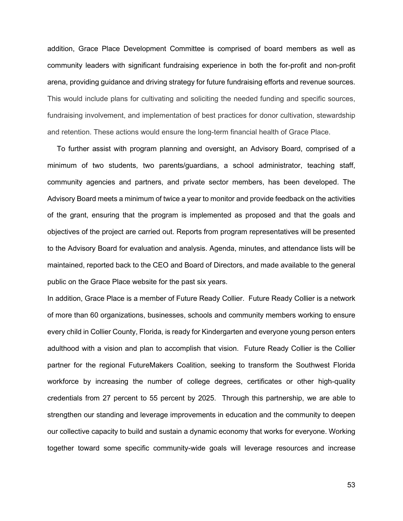addition, Grace Place Development Committee is comprised of board members as well as community leaders with significant fundraising experience in both the for-profit and non-profit arena, providing guidance and driving strategy for future fundraising efforts and revenue sources. This would include plans for cultivating and soliciting the needed funding and specific sources, fundraising involvement, and implementation of best practices for donor cultivation, stewardship and retention. These actions would ensure the long-term financial health of Grace Place.

To further assist with program planning and oversight, an Advisory Board, comprised of a minimum of two students, two parents/guardians, a school administrator, teaching staff, community agencies and partners, and private sector members, has been developed. The Advisory Board meets a minimum of twice a year to monitor and provide feedback on the activities of the grant, ensuring that the program is implemented as proposed and that the goals and objectives of the project are carried out. Reports from program representatives will be presented to the Advisory Board for evaluation and analysis. Agenda, minutes, and attendance lists will be maintained, reported back to the CEO and Board of Directors, and made available to the general public on the Grace Place website for the past six years.

In addition, Grace Place is a member of Future Ready Collier. Future Ready Collier is a network of more than 60 organizations, businesses, schools and community members working to ensure every child in Collier County, Florida, is ready for Kindergarten and everyone young person enters adulthood with a vision and plan to accomplish that vision. Future Ready Collier is the Collier partner for the regional FutureMakers Coalition, seeking to transform the Southwest Florida workforce by increasing the number of college degrees, certificates or other high-quality credentials from 27 percent to 55 percent by 2025. Through this partnership, we are able to strengthen our standing and leverage improvements in education and the community to deepen our collective capacity to build and sustain a dynamic economy that works for everyone. Working together toward some specific community-wide goals will leverage resources and increase